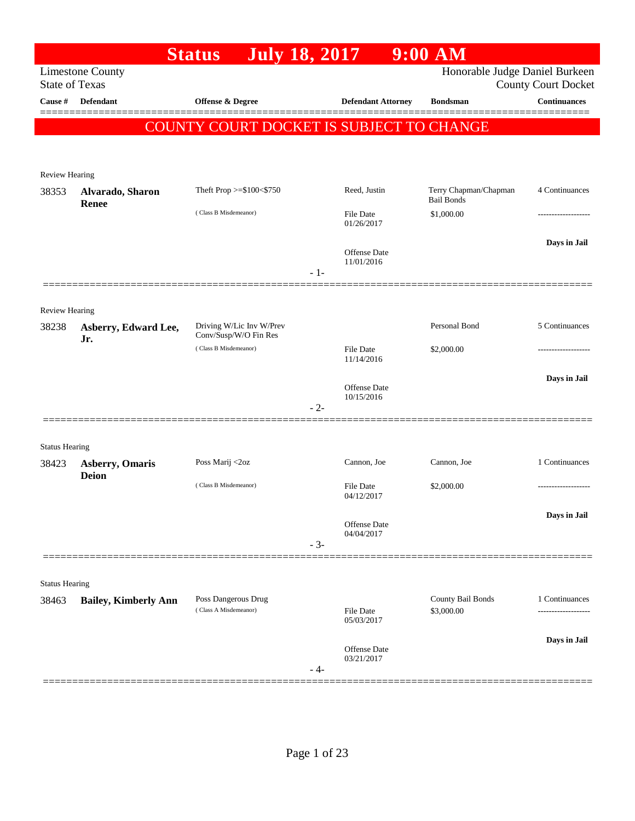|                                |                                        | <b>July 18, 2017</b><br><b>Status</b>             |       |                                   | $9:00$ AM                                  |                            |
|--------------------------------|----------------------------------------|---------------------------------------------------|-------|-----------------------------------|--------------------------------------------|----------------------------|
| <b>State of Texas</b>          | <b>Limestone County</b>                |                                                   |       |                                   | Honorable Judge Daniel Burkeen             | <b>County Court Docket</b> |
| Cause #                        | <b>Defendant</b>                       | <b>Offense &amp; Degree</b>                       |       | <b>Defendant Attorney</b>         | <b>Bondsman</b>                            | <b>Continuances</b>        |
|                                |                                        | COUNTY COURT DOCKET IS SUBJECT TO CHANGE          |       |                                   |                                            | ========                   |
|                                |                                        |                                                   |       |                                   |                                            |                            |
| Review Hearing                 |                                        |                                                   |       |                                   |                                            |                            |
| 38353                          | Alvarado, Sharon<br>Renee              | Theft Prop >=\$100<\$750                          |       | Reed, Justin                      | Terry Chapman/Chapman<br><b>Bail Bonds</b> | 4 Continuances             |
|                                |                                        | (Class B Misdemeanor)                             |       | <b>File Date</b><br>01/26/2017    | \$1,000.00                                 |                            |
|                                |                                        |                                                   |       | <b>Offense Date</b><br>11/01/2016 |                                            | Days in Jail               |
|                                |                                        |                                                   | $-1-$ |                                   |                                            |                            |
| Review Hearing                 |                                        |                                                   |       |                                   |                                            |                            |
| 38238                          | Asberry, Edward Lee,<br>Jr.            | Driving W/Lic Inv W/Prev<br>Conv/Susp/W/O Fin Res |       |                                   | Personal Bond                              | 5 Continuances             |
|                                |                                        | (Class B Misdemeanor)                             |       | File Date<br>11/14/2016           | \$2,000.00                                 |                            |
|                                |                                        |                                                   |       | <b>Offense Date</b>               |                                            | Days in Jail               |
|                                |                                        |                                                   | $-2-$ | 10/15/2016                        |                                            |                            |
| <b>Status Hearing</b>          |                                        |                                                   |       |                                   |                                            |                            |
| 38423                          | <b>Asberry, Omaris</b><br><b>Deion</b> | Poss Marij <2oz                                   |       | Cannon, Joe                       | Cannon, Joe                                | 1 Continuances             |
|                                |                                        | (Class B Misdemeanor)                             |       | File Date<br>04/12/2017           | \$2,000.00                                 | ------------------         |
|                                |                                        |                                                   |       | Offense Date                      |                                            | Days in Jail               |
|                                |                                        |                                                   | $-3-$ | 04/04/2017                        |                                            |                            |
|                                |                                        |                                                   |       |                                   |                                            |                            |
| <b>Status Hearing</b><br>38463 | <b>Bailey, Kimberly Ann</b>            | Poss Dangerous Drug                               |       |                                   | County Bail Bonds                          | 1 Continuances             |
|                                |                                        | (Class A Misdemeanor)                             |       | <b>File Date</b><br>05/03/2017    | \$3,000.00                                 | ------------------         |
|                                |                                        |                                                   | - 4-  | <b>Offense Date</b><br>03/21/2017 |                                            | Days in Jail               |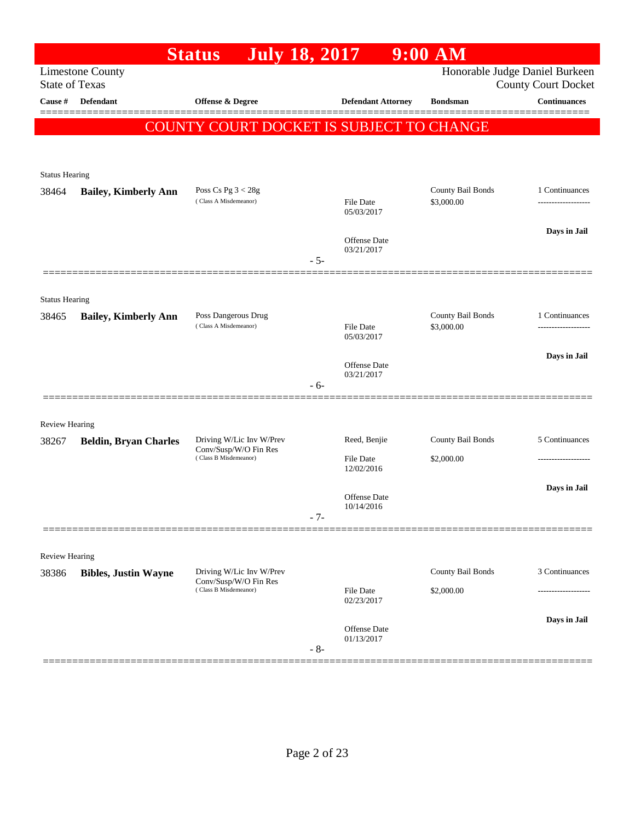|                       |                              | <b>July 18, 2017</b><br><b>Status</b>             |       |                                   | $9:00$ AM                       |                                                              |
|-----------------------|------------------------------|---------------------------------------------------|-------|-----------------------------------|---------------------------------|--------------------------------------------------------------|
| <b>State of Texas</b> | <b>Limestone County</b>      |                                                   |       |                                   |                                 | Honorable Judge Daniel Burkeen<br><b>County Court Docket</b> |
| Cause #               | Defendant                    | Offense & Degree                                  |       | <b>Defendant Attorney</b>         | <b>Bondsman</b>                 | <b>Continuances</b><br>======                                |
|                       |                              | COUNTY COURT DOCKET IS SUBJECT TO CHANGE          |       |                                   |                                 |                                                              |
|                       |                              |                                                   |       |                                   |                                 |                                                              |
| <b>Status Hearing</b> |                              |                                                   |       |                                   |                                 |                                                              |
| 38464                 | <b>Bailey, Kimberly Ann</b>  | Poss Cs Pg $3 < 28g$                              |       |                                   | County Bail Bonds               | 1 Continuances                                               |
|                       |                              | (Class A Misdemeanor)                             |       | File Date<br>05/03/2017           | \$3,000.00                      |                                                              |
|                       |                              |                                                   |       | Offense Date                      |                                 | Days in Jail                                                 |
|                       |                              |                                                   | $-5-$ | 03/21/2017                        |                                 |                                                              |
|                       |                              |                                                   |       |                                   |                                 |                                                              |
| <b>Status Hearing</b> |                              |                                                   |       |                                   |                                 |                                                              |
| 38465                 | <b>Bailey, Kimberly Ann</b>  | Poss Dangerous Drug<br>(Class A Misdemeanor)      |       | <b>File Date</b>                  | County Bail Bonds<br>\$3,000.00 | 1 Continuances<br>-------------------                        |
|                       |                              |                                                   |       | 05/03/2017                        |                                 |                                                              |
|                       |                              |                                                   |       | <b>Offense Date</b>               |                                 | Days in Jail                                                 |
|                       |                              |                                                   | $-6-$ | 03/21/2017                        |                                 |                                                              |
|                       |                              |                                                   |       |                                   |                                 |                                                              |
| <b>Review Hearing</b> |                              |                                                   |       |                                   |                                 |                                                              |
| 38267                 | <b>Beldin, Bryan Charles</b> | Driving W/Lic Inv W/Prev<br>Conv/Susp/W/O Fin Res |       | Reed, Benjie                      | County Bail Bonds               | 5 Continuances                                               |
|                       |                              | (Class B Misdemeanor)                             |       | <b>File Date</b><br>12/02/2016    | \$2,000.00                      |                                                              |
|                       |                              |                                                   |       |                                   |                                 | Days in Jail                                                 |
|                       |                              |                                                   |       | <b>Offense</b> Date<br>10/14/2016 |                                 |                                                              |
|                       |                              |                                                   | $-7-$ |                                   |                                 |                                                              |
| Review Hearing        |                              |                                                   |       |                                   |                                 |                                                              |
| 38386                 | <b>Bibles, Justin Wayne</b>  | Driving W/Lic Inv W/Prev                          |       |                                   | County Bail Bonds               | 3 Continuances                                               |
|                       |                              | Conv/Susp/W/O Fin Res<br>(Class B Misdemeanor)    |       | <b>File Date</b><br>02/23/2017    | \$2,000.00                      |                                                              |
|                       |                              |                                                   |       |                                   |                                 | Days in Jail                                                 |
|                       |                              |                                                   | $-8-$ | Offense Date<br>01/13/2017        |                                 |                                                              |
|                       |                              |                                                   |       |                                   |                                 |                                                              |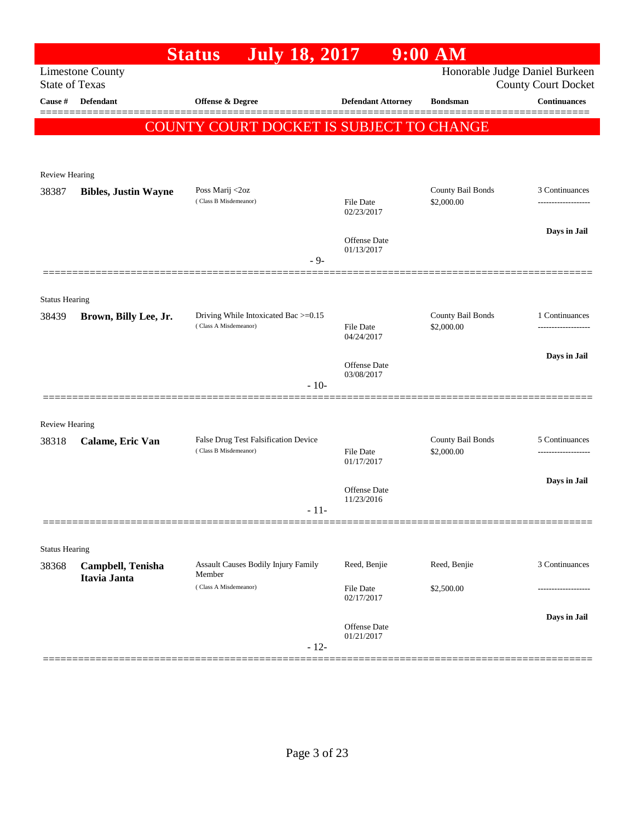| Honorable Judge Daniel Burkeen<br><b>Limestone County</b><br><b>State of Texas</b><br><b>County Court Docket</b><br><b>Continuances</b><br><b>Defendant</b><br>Offense & Degree<br><b>Defendant Attorney</b><br>Cause #<br><b>Bondsman</b><br><b>COUNTY COURT DOCKET IS SUBJECT TO CHANGE</b><br>Review Hearing<br>County Bail Bonds<br>Poss Marij <2oz<br>38387<br><b>Bibles, Justin Wayne</b><br>(Class B Misdemeanor)<br>\$2,000.00<br>File Date<br>02/23/2017<br>Offense Date<br>01/13/2017<br>$-9-$<br><b>Status Hearing</b><br>County Bail Bonds<br>Driving While Intoxicated Bac >=0.15<br>1 Continuances<br>38439<br>Brown, Billy Lee, Jr.<br>(Class A Misdemeanor)<br>\$2,000.00<br><b>File Date</b><br>04/24/2017<br><b>Offense Date</b><br>03/08/2017<br>$-10-$<br>Review Hearing<br>County Bail Bonds<br>False Drug Test Falsification Device<br>38318<br>Calame, Eric Van<br>(Class B Misdemeanor)<br>\$2,000.00<br><b>File Date</b><br>01/17/2017<br>Offense Date<br>11/23/2016<br>$-11-$<br><b>Status Hearing</b><br>Assault Causes Bodily Injury Family<br>Reed, Benjie<br>Reed, Benjie<br>3 Continuances<br>38368<br>Campbell, Tenisha<br>Member<br>Itavia Janta<br>(Class A Misdemeanor)<br>File Date<br>\$2,500.00<br>02/17/2017<br>Offense Date<br>01/21/2017<br>$-12-$ |  | <b>July 18, 2017</b><br><b>Status</b> | $9:00$ AM |                    |
|---------------------------------------------------------------------------------------------------------------------------------------------------------------------------------------------------------------------------------------------------------------------------------------------------------------------------------------------------------------------------------------------------------------------------------------------------------------------------------------------------------------------------------------------------------------------------------------------------------------------------------------------------------------------------------------------------------------------------------------------------------------------------------------------------------------------------------------------------------------------------------------------------------------------------------------------------------------------------------------------------------------------------------------------------------------------------------------------------------------------------------------------------------------------------------------------------------------------------------------------------------------------------------------------|--|---------------------------------------|-----------|--------------------|
|                                                                                                                                                                                                                                                                                                                                                                                                                                                                                                                                                                                                                                                                                                                                                                                                                                                                                                                                                                                                                                                                                                                                                                                                                                                                                             |  |                                       |           |                    |
|                                                                                                                                                                                                                                                                                                                                                                                                                                                                                                                                                                                                                                                                                                                                                                                                                                                                                                                                                                                                                                                                                                                                                                                                                                                                                             |  |                                       |           |                    |
|                                                                                                                                                                                                                                                                                                                                                                                                                                                                                                                                                                                                                                                                                                                                                                                                                                                                                                                                                                                                                                                                                                                                                                                                                                                                                             |  |                                       |           |                    |
|                                                                                                                                                                                                                                                                                                                                                                                                                                                                                                                                                                                                                                                                                                                                                                                                                                                                                                                                                                                                                                                                                                                                                                                                                                                                                             |  |                                       |           |                    |
|                                                                                                                                                                                                                                                                                                                                                                                                                                                                                                                                                                                                                                                                                                                                                                                                                                                                                                                                                                                                                                                                                                                                                                                                                                                                                             |  |                                       |           |                    |
|                                                                                                                                                                                                                                                                                                                                                                                                                                                                                                                                                                                                                                                                                                                                                                                                                                                                                                                                                                                                                                                                                                                                                                                                                                                                                             |  |                                       |           |                    |
|                                                                                                                                                                                                                                                                                                                                                                                                                                                                                                                                                                                                                                                                                                                                                                                                                                                                                                                                                                                                                                                                                                                                                                                                                                                                                             |  |                                       |           | 3 Continuances     |
|                                                                                                                                                                                                                                                                                                                                                                                                                                                                                                                                                                                                                                                                                                                                                                                                                                                                                                                                                                                                                                                                                                                                                                                                                                                                                             |  |                                       |           |                    |
|                                                                                                                                                                                                                                                                                                                                                                                                                                                                                                                                                                                                                                                                                                                                                                                                                                                                                                                                                                                                                                                                                                                                                                                                                                                                                             |  |                                       |           | Days in Jail       |
|                                                                                                                                                                                                                                                                                                                                                                                                                                                                                                                                                                                                                                                                                                                                                                                                                                                                                                                                                                                                                                                                                                                                                                                                                                                                                             |  |                                       |           |                    |
|                                                                                                                                                                                                                                                                                                                                                                                                                                                                                                                                                                                                                                                                                                                                                                                                                                                                                                                                                                                                                                                                                                                                                                                                                                                                                             |  |                                       |           |                    |
|                                                                                                                                                                                                                                                                                                                                                                                                                                                                                                                                                                                                                                                                                                                                                                                                                                                                                                                                                                                                                                                                                                                                                                                                                                                                                             |  |                                       |           |                    |
|                                                                                                                                                                                                                                                                                                                                                                                                                                                                                                                                                                                                                                                                                                                                                                                                                                                                                                                                                                                                                                                                                                                                                                                                                                                                                             |  |                                       |           |                    |
|                                                                                                                                                                                                                                                                                                                                                                                                                                                                                                                                                                                                                                                                                                                                                                                                                                                                                                                                                                                                                                                                                                                                                                                                                                                                                             |  |                                       |           |                    |
|                                                                                                                                                                                                                                                                                                                                                                                                                                                                                                                                                                                                                                                                                                                                                                                                                                                                                                                                                                                                                                                                                                                                                                                                                                                                                             |  |                                       |           |                    |
|                                                                                                                                                                                                                                                                                                                                                                                                                                                                                                                                                                                                                                                                                                                                                                                                                                                                                                                                                                                                                                                                                                                                                                                                                                                                                             |  |                                       |           | Days in Jail       |
|                                                                                                                                                                                                                                                                                                                                                                                                                                                                                                                                                                                                                                                                                                                                                                                                                                                                                                                                                                                                                                                                                                                                                                                                                                                                                             |  |                                       |           |                    |
|                                                                                                                                                                                                                                                                                                                                                                                                                                                                                                                                                                                                                                                                                                                                                                                                                                                                                                                                                                                                                                                                                                                                                                                                                                                                                             |  |                                       |           |                    |
|                                                                                                                                                                                                                                                                                                                                                                                                                                                                                                                                                                                                                                                                                                                                                                                                                                                                                                                                                                                                                                                                                                                                                                                                                                                                                             |  |                                       |           |                    |
|                                                                                                                                                                                                                                                                                                                                                                                                                                                                                                                                                                                                                                                                                                                                                                                                                                                                                                                                                                                                                                                                                                                                                                                                                                                                                             |  |                                       |           | 5 Continuances     |
|                                                                                                                                                                                                                                                                                                                                                                                                                                                                                                                                                                                                                                                                                                                                                                                                                                                                                                                                                                                                                                                                                                                                                                                                                                                                                             |  |                                       |           | ------------------ |
|                                                                                                                                                                                                                                                                                                                                                                                                                                                                                                                                                                                                                                                                                                                                                                                                                                                                                                                                                                                                                                                                                                                                                                                                                                                                                             |  |                                       |           | Days in Jail       |
|                                                                                                                                                                                                                                                                                                                                                                                                                                                                                                                                                                                                                                                                                                                                                                                                                                                                                                                                                                                                                                                                                                                                                                                                                                                                                             |  |                                       |           |                    |
|                                                                                                                                                                                                                                                                                                                                                                                                                                                                                                                                                                                                                                                                                                                                                                                                                                                                                                                                                                                                                                                                                                                                                                                                                                                                                             |  |                                       |           |                    |
|                                                                                                                                                                                                                                                                                                                                                                                                                                                                                                                                                                                                                                                                                                                                                                                                                                                                                                                                                                                                                                                                                                                                                                                                                                                                                             |  |                                       |           |                    |
|                                                                                                                                                                                                                                                                                                                                                                                                                                                                                                                                                                                                                                                                                                                                                                                                                                                                                                                                                                                                                                                                                                                                                                                                                                                                                             |  |                                       |           |                    |
|                                                                                                                                                                                                                                                                                                                                                                                                                                                                                                                                                                                                                                                                                                                                                                                                                                                                                                                                                                                                                                                                                                                                                                                                                                                                                             |  |                                       |           |                    |
|                                                                                                                                                                                                                                                                                                                                                                                                                                                                                                                                                                                                                                                                                                                                                                                                                                                                                                                                                                                                                                                                                                                                                                                                                                                                                             |  |                                       |           |                    |
|                                                                                                                                                                                                                                                                                                                                                                                                                                                                                                                                                                                                                                                                                                                                                                                                                                                                                                                                                                                                                                                                                                                                                                                                                                                                                             |  |                                       |           | Days in Jail       |
|                                                                                                                                                                                                                                                                                                                                                                                                                                                                                                                                                                                                                                                                                                                                                                                                                                                                                                                                                                                                                                                                                                                                                                                                                                                                                             |  |                                       |           |                    |
|                                                                                                                                                                                                                                                                                                                                                                                                                                                                                                                                                                                                                                                                                                                                                                                                                                                                                                                                                                                                                                                                                                                                                                                                                                                                                             |  |                                       |           |                    |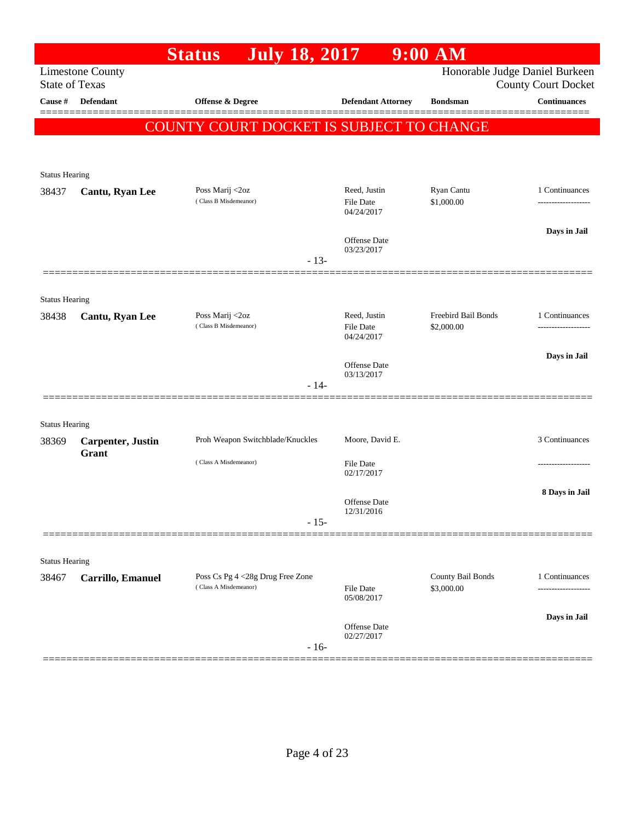|                                |                                    | <b>Status</b>                            | <b>July 18, 2017</b> |                                  | $9:00$ AM                         |                                                              |
|--------------------------------|------------------------------------|------------------------------------------|----------------------|----------------------------------|-----------------------------------|--------------------------------------------------------------|
| <b>State of Texas</b>          | <b>Limestone County</b>            |                                          |                      |                                  |                                   | Honorable Judge Daniel Burkeen<br><b>County Court Docket</b> |
| Cause #                        | Defendant                          | Offense & Degree                         |                      | <b>Defendant Attorney</b>        | <b>Bondsman</b>                   | <b>Continuances</b>                                          |
|                                |                                    | COUNTY COURT DOCKET IS SUBJECT TO CHANGE |                      |                                  |                                   |                                                              |
|                                |                                    |                                          |                      |                                  |                                   |                                                              |
| <b>Status Hearing</b>          |                                    |                                          |                      |                                  |                                   |                                                              |
| 38437                          | Cantu, Ryan Lee                    | Poss Marij <2oz<br>(Class B Misdemeanor) |                      | Reed, Justin<br><b>File Date</b> | Ryan Cantu<br>\$1,000.00          | 1 Continuances<br>-------------------                        |
|                                |                                    |                                          |                      | 04/24/2017                       |                                   |                                                              |
|                                |                                    |                                          |                      | <b>Offense Date</b>              |                                   | Days in Jail                                                 |
|                                |                                    |                                          | $-13-$               | 03/23/2017                       |                                   |                                                              |
|                                |                                    |                                          |                      |                                  |                                   |                                                              |
| <b>Status Hearing</b>          |                                    |                                          |                      |                                  |                                   |                                                              |
| 38438                          | Cantu, Ryan Lee                    | Poss Marij <2oz<br>(Class B Misdemeanor) |                      | Reed, Justin<br>File Date        | Freebird Bail Bonds<br>\$2,000.00 | 1 Continuances                                               |
|                                |                                    |                                          |                      | 04/24/2017                       |                                   |                                                              |
|                                |                                    |                                          |                      | <b>Offense Date</b>              |                                   | Days in Jail                                                 |
|                                |                                    |                                          | $-14-$               | 03/13/2017                       |                                   |                                                              |
|                                |                                    |                                          |                      |                                  |                                   |                                                              |
| <b>Status Hearing</b>          |                                    |                                          |                      |                                  |                                   |                                                              |
| 38369                          | <b>Carpenter</b> , Justin<br>Grant | Proh Weapon Switchblade/Knuckles         |                      | Moore, David E.                  |                                   | 3 Continuances                                               |
|                                |                                    | (Class A Misdemeanor)                    |                      | File Date<br>02/17/2017          |                                   | .                                                            |
|                                |                                    |                                          |                      |                                  |                                   | 8 Days in Jail                                               |
|                                |                                    |                                          |                      | Offense Date<br>12/31/2016       |                                   |                                                              |
|                                |                                    |                                          | $-15-$               |                                  |                                   |                                                              |
|                                |                                    |                                          |                      |                                  |                                   |                                                              |
| <b>Status Hearing</b><br>38467 | Carrillo, Emanuel                  | Poss Cs Pg 4 <28g Drug Free Zone         |                      |                                  | County Bail Bonds                 | 1 Continuances                                               |
|                                |                                    | (Class A Misdemeanor)                    |                      | File Date<br>05/08/2017          | \$3,000.00                        |                                                              |
|                                |                                    |                                          |                      |                                  |                                   | Days in Jail                                                 |
|                                |                                    |                                          |                      | Offense Date<br>02/27/2017       |                                   |                                                              |
|                                |                                    |                                          | $-16-$               |                                  |                                   |                                                              |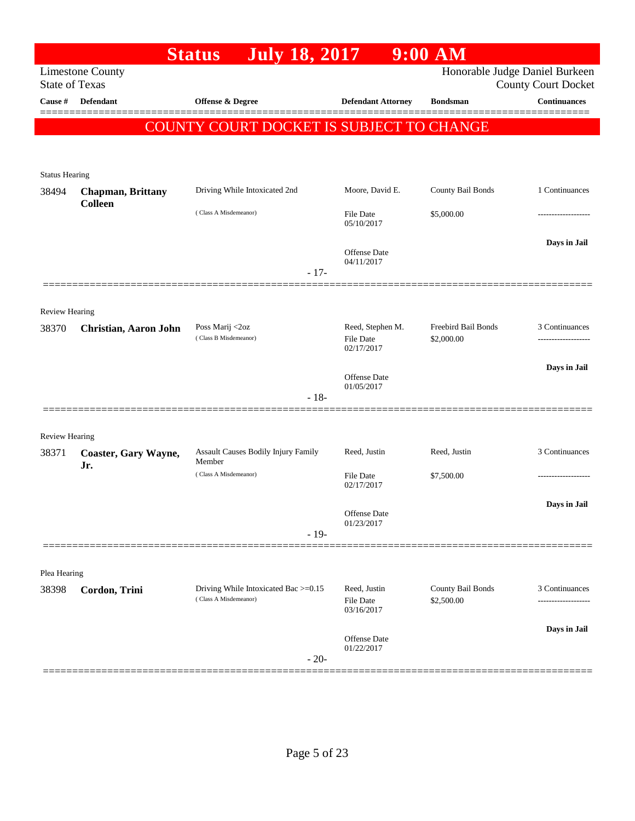|                       |                             | <b>July 18, 2017</b><br><b>Status</b>                         |                                  | $9:00$ AM                       |                                                   |
|-----------------------|-----------------------------|---------------------------------------------------------------|----------------------------------|---------------------------------|---------------------------------------------------|
| <b>State of Texas</b> | <b>Limestone County</b>     |                                                               |                                  |                                 | Honorable Judge Daniel Burkeen                    |
| Cause #               | Defendant                   | Offense & Degree                                              | <b>Defendant Attorney</b>        | <b>Bondsman</b>                 | <b>County Court Docket</b><br><b>Continuances</b> |
|                       |                             |                                                               |                                  |                                 | ====                                              |
|                       |                             | COUNTY COURT DOCKET IS SUBJECT TO CHANGE                      |                                  |                                 |                                                   |
|                       |                             |                                                               |                                  |                                 |                                                   |
| <b>Status Hearing</b> |                             |                                                               |                                  |                                 |                                                   |
| 38494                 | <b>Chapman, Brittany</b>    | Driving While Intoxicated 2nd                                 | Moore, David E.                  | County Bail Bonds               | 1 Continuances                                    |
|                       | <b>Colleen</b>              | (Class A Misdemeanor)                                         | File Date                        | \$5,000.00                      |                                                   |
|                       |                             |                                                               | 05/10/2017                       |                                 |                                                   |
|                       |                             |                                                               | Offense Date                     |                                 | Days in Jail                                      |
|                       |                             | $-17-$                                                        | 04/11/2017                       |                                 |                                                   |
|                       |                             |                                                               |                                  |                                 |                                                   |
| <b>Review Hearing</b> |                             |                                                               |                                  |                                 |                                                   |
| 38370                 | Christian, Aaron John       | Poss Marij <2oz                                               | Reed, Stephen M.                 | Freebird Bail Bonds             | 3 Continuances                                    |
|                       |                             | (Class B Misdemeanor)                                         | <b>File Date</b><br>02/17/2017   | \$2,000.00                      |                                                   |
|                       |                             |                                                               |                                  |                                 | Days in Jail                                      |
|                       |                             |                                                               | Offense Date<br>01/05/2017       |                                 |                                                   |
|                       |                             | $-18-$                                                        |                                  |                                 |                                                   |
|                       |                             |                                                               |                                  |                                 |                                                   |
| <b>Review Hearing</b> |                             |                                                               |                                  |                                 |                                                   |
| 38371                 | Coaster, Gary Wayne,<br>Jr. | Assault Causes Bodily Injury Family<br>Member                 | Reed, Justin                     | Reed, Justin                    | 3 Continuances                                    |
|                       |                             | (Class A Misdemeanor)                                         | File Date<br>02/17/2017          | \$7,500.00                      |                                                   |
|                       |                             |                                                               |                                  |                                 | Days in Jail                                      |
|                       |                             |                                                               | Offense Date<br>01/23/2017       |                                 |                                                   |
|                       |                             | $-19-$                                                        |                                  |                                 |                                                   |
|                       |                             |                                                               |                                  |                                 |                                                   |
| Plea Hearing          |                             |                                                               |                                  |                                 |                                                   |
| 38398                 | Cordon, Trini               | Driving While Intoxicated Bac >=0.15<br>(Class A Misdemeanor) | Reed, Justin<br><b>File Date</b> | County Bail Bonds<br>\$2,500.00 | 3 Continuances                                    |
|                       |                             |                                                               | 03/16/2017                       |                                 |                                                   |
|                       |                             |                                                               | Offense Date                     |                                 | Days in Jail                                      |
|                       |                             |                                                               | 01/22/2017                       |                                 |                                                   |
|                       |                             | $-20-$                                                        |                                  |                                 |                                                   |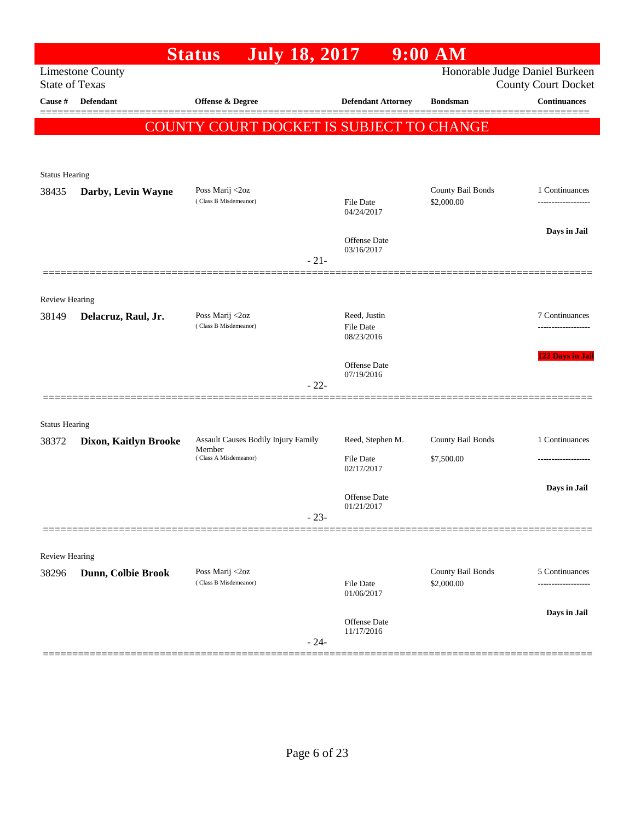|                       |                         | <b>July 18, 2017</b><br><b>Status</b>         |        |                            | $9:00$ AM                       |                                                              |
|-----------------------|-------------------------|-----------------------------------------------|--------|----------------------------|---------------------------------|--------------------------------------------------------------|
| <b>State of Texas</b> | <b>Limestone County</b> |                                               |        |                            |                                 | Honorable Judge Daniel Burkeen<br><b>County Court Docket</b> |
| <b>Cause</b> #        | Defendant               | Offense & Degree                              |        | <b>Defendant Attorney</b>  | <b>Bondsman</b>                 | <b>Continuances</b>                                          |
|                       |                         |                                               |        |                            |                                 | ========                                                     |
|                       |                         | COUNTY COURT DOCKET IS SUBJECT TO CHANGE      |        |                            |                                 |                                                              |
|                       |                         |                                               |        |                            |                                 |                                                              |
| <b>Status Hearing</b> |                         |                                               |        |                            |                                 |                                                              |
| 38435                 | Darby, Levin Wayne      | Poss Marij <2oz<br>(Class B Misdemeanor)      |        | File Date                  | County Bail Bonds<br>\$2,000.00 | 1 Continuances                                               |
|                       |                         |                                               |        | 04/24/2017                 |                                 |                                                              |
|                       |                         |                                               |        |                            |                                 | Days in Jail                                                 |
|                       |                         |                                               |        | Offense Date<br>03/16/2017 |                                 |                                                              |
|                       |                         |                                               | $-21-$ |                            |                                 |                                                              |
|                       |                         |                                               |        |                            |                                 |                                                              |
| Review Hearing        |                         | Poss Marij <2oz                               |        | Reed, Justin               |                                 | 7 Continuances                                               |
| 38149                 | Delacruz, Raul, Jr.     | (Class B Misdemeanor)                         |        | <b>File Date</b>           |                                 |                                                              |
|                       |                         |                                               |        | 08/23/2016                 |                                 |                                                              |
|                       |                         |                                               |        | Offense Date               |                                 | 122 Days in Jail                                             |
|                       |                         |                                               | $-22-$ | 07/19/2016                 |                                 |                                                              |
|                       |                         |                                               |        |                            |                                 |                                                              |
| <b>Status Hearing</b> |                         |                                               |        |                            |                                 |                                                              |
| 38372                 | Dixon, Kaitlyn Brooke   | Assault Causes Bodily Injury Family<br>Member |        | Reed, Stephen M.           | County Bail Bonds               | 1 Continuances                                               |
|                       |                         | (Class A Misdemeanor)                         |        | File Date<br>02/17/2017    | \$7,500.00                      | -------------                                                |
|                       |                         |                                               |        |                            |                                 | Days in Jail                                                 |
|                       |                         |                                               |        | Offense Date<br>01/21/2017 |                                 |                                                              |
|                       |                         |                                               | $-23-$ |                            |                                 |                                                              |
|                       |                         |                                               |        |                            |                                 |                                                              |
| Review Hearing        |                         |                                               |        |                            |                                 |                                                              |
| 38296                 | Dunn, Colbie Brook      | Poss Marij <2oz<br>(Class B Misdemeanor)      |        | File Date                  | County Bail Bonds<br>\$2,000.00 | 5 Continuances                                               |
|                       |                         |                                               |        | 01/06/2017                 |                                 | -----------------                                            |
|                       |                         |                                               |        |                            |                                 | Days in Jail                                                 |
|                       |                         |                                               |        | Offense Date<br>11/17/2016 |                                 |                                                              |
|                       |                         |                                               | $-24-$ |                            |                                 |                                                              |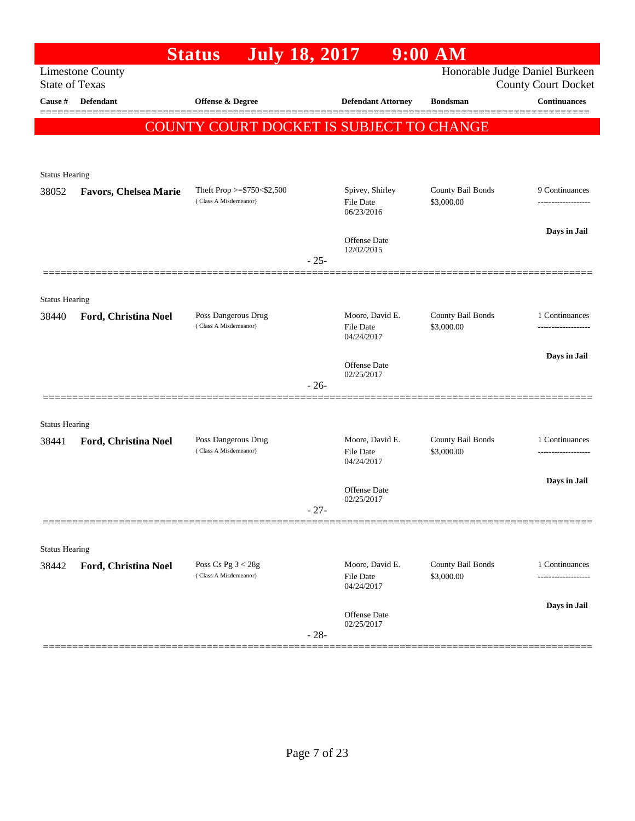|                                |                              | <b>July 18, 2017</b><br><b>Status</b>         |        |                                   | $9:00$ AM                       |                                                              |
|--------------------------------|------------------------------|-----------------------------------------------|--------|-----------------------------------|---------------------------------|--------------------------------------------------------------|
| <b>State of Texas</b>          | <b>Limestone County</b>      |                                               |        |                                   |                                 | Honorable Judge Daniel Burkeen<br><b>County Court Docket</b> |
| Cause #                        | Defendant                    | <b>Offense &amp; Degree</b>                   |        | <b>Defendant Attorney</b>         | <b>Bondsman</b>                 | <b>Continuances</b>                                          |
|                                |                              | COUNTY COURT DOCKET IS SUBJECT TO CHANGE      |        |                                   |                                 | ========                                                     |
|                                |                              |                                               |        |                                   |                                 |                                                              |
| <b>Status Hearing</b>          |                              |                                               |        |                                   |                                 |                                                              |
| 38052                          | <b>Favors, Chelsea Marie</b> | Theft Prop $>=$ \$750 < \$2,500               |        | Spivey, Shirley                   | County Bail Bonds               | 9 Continuances                                               |
|                                |                              | (Class A Misdemeanor)                         |        | File Date<br>06/23/2016           | \$3,000.00                      |                                                              |
|                                |                              |                                               |        | Offense Date                      |                                 | Days in Jail                                                 |
|                                |                              |                                               | $-25-$ | 12/02/2015                        |                                 |                                                              |
|                                |                              |                                               |        |                                   |                                 |                                                              |
| <b>Status Hearing</b>          |                              |                                               |        |                                   |                                 |                                                              |
| 38440                          | Ford, Christina Noel         | Poss Dangerous Drug<br>(Class A Misdemeanor)  |        | Moore, David E.<br>File Date      | County Bail Bonds<br>\$3,000.00 | 1 Continuances                                               |
|                                |                              |                                               |        | 04/24/2017                        |                                 |                                                              |
|                                |                              |                                               |        | <b>Offense Date</b><br>02/25/2017 |                                 | Days in Jail                                                 |
|                                |                              |                                               | $-26-$ |                                   |                                 |                                                              |
|                                |                              |                                               |        |                                   |                                 |                                                              |
| <b>Status Hearing</b><br>38441 | Ford, Christina Noel         | Poss Dangerous Drug                           |        | Moore, David E.                   | County Bail Bonds               | 1 Continuances                                               |
|                                |                              | (Class A Misdemeanor)                         |        | <b>File Date</b><br>04/24/2017    | \$3,000.00                      | .                                                            |
|                                |                              |                                               |        |                                   |                                 | Days in Jail                                                 |
|                                |                              |                                               | $-27-$ | Offense Date<br>02/25/2017        |                                 |                                                              |
|                                |                              |                                               |        |                                   |                                 |                                                              |
| <b>Status Hearing</b>          |                              |                                               |        |                                   |                                 |                                                              |
| 38442                          | Ford, Christina Noel         | Poss Cs Pg $3 < 28g$<br>(Class A Misdemeanor) |        | Moore, David E.                   | County Bail Bonds               | 1 Continuances                                               |
|                                |                              |                                               |        | File Date<br>04/24/2017           | \$3,000.00                      |                                                              |
|                                |                              |                                               |        | Offense Date                      |                                 | Days in Jail                                                 |
|                                |                              |                                               | $-28-$ | 02/25/2017                        |                                 |                                                              |
|                                |                              |                                               |        |                                   |                                 |                                                              |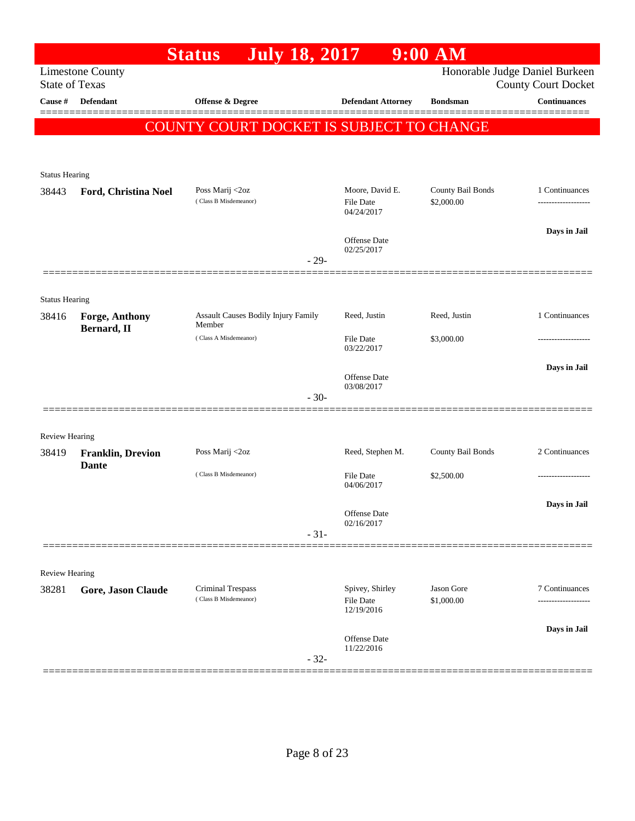|                       |                                      | <b>July 18, 2017</b><br><b>Status</b>         |                                   | $9:00$ AM         |                                                              |
|-----------------------|--------------------------------------|-----------------------------------------------|-----------------------------------|-------------------|--------------------------------------------------------------|
| <b>State of Texas</b> | <b>Limestone County</b>              |                                               |                                   |                   | Honorable Judge Daniel Burkeen<br><b>County Court Docket</b> |
| Cause #               | Defendant                            | <b>Offense &amp; Degree</b>                   | <b>Defendant Attorney</b>         | <b>Bondsman</b>   | <b>Continuances</b>                                          |
|                       |                                      |                                               |                                   |                   |                                                              |
|                       |                                      | COUNTY COURT DOCKET IS SUBJECT TO CHANGE      |                                   |                   |                                                              |
|                       |                                      |                                               |                                   |                   |                                                              |
| <b>Status Hearing</b> |                                      |                                               |                                   |                   |                                                              |
| 38443                 | Ford, Christina Noel                 | Poss Marij <2oz                               | Moore, David E.                   | County Bail Bonds | 1 Continuances                                               |
|                       |                                      | (Class B Misdemeanor)                         | File Date<br>04/24/2017           | \$2,000.00        |                                                              |
|                       |                                      |                                               |                                   |                   | Days in Jail                                                 |
|                       |                                      |                                               | <b>Offense Date</b><br>02/25/2017 |                   |                                                              |
|                       |                                      |                                               | $-29-$                            |                   |                                                              |
|                       |                                      |                                               |                                   |                   |                                                              |
| <b>Status Hearing</b> |                                      |                                               |                                   |                   |                                                              |
| 38416                 | <b>Forge, Anthony</b><br>Bernard, II | Assault Causes Bodily Injury Family<br>Member | Reed, Justin                      | Reed, Justin      | 1 Continuances                                               |
|                       |                                      | (Class A Misdemeanor)                         | <b>File Date</b><br>03/22/2017    | \$3,000.00        |                                                              |
|                       |                                      |                                               |                                   |                   | Days in Jail                                                 |
|                       |                                      |                                               | <b>Offense Date</b><br>03/08/2017 |                   |                                                              |
|                       |                                      |                                               | $-30-$                            |                   |                                                              |
|                       |                                      |                                               |                                   |                   |                                                              |
| <b>Review Hearing</b> |                                      |                                               |                                   |                   |                                                              |
| 38419                 | <b>Franklin, Drevion</b>             | Poss Marij <2oz                               | Reed, Stephen M.                  | County Bail Bonds | 2 Continuances                                               |
|                       | <b>Dante</b>                         | (Class B Misdemeanor)                         | <b>File Date</b>                  | \$2,500.00        |                                                              |
|                       |                                      |                                               | 04/06/2017                        |                   |                                                              |
|                       |                                      |                                               | Offense Date                      |                   | Days in Jail                                                 |
|                       |                                      |                                               | 02/16/2017<br>$-31-$              |                   |                                                              |
|                       |                                      |                                               |                                   |                   |                                                              |
| <b>Review Hearing</b> |                                      |                                               |                                   |                   |                                                              |
| 38281                 | Gore, Jason Claude                   | Criminal Trespass                             | Spivey, Shirley                   | Jason Gore        | 7 Continuances                                               |
|                       |                                      | (Class B Misdemeanor)                         | <b>File Date</b><br>12/19/2016    | \$1,000.00        |                                                              |
|                       |                                      |                                               |                                   |                   | Days in Jail                                                 |
|                       |                                      |                                               | <b>Offense Date</b><br>11/22/2016 |                   |                                                              |
|                       |                                      |                                               | $-32-$                            |                   |                                                              |
|                       |                                      |                                               |                                   |                   |                                                              |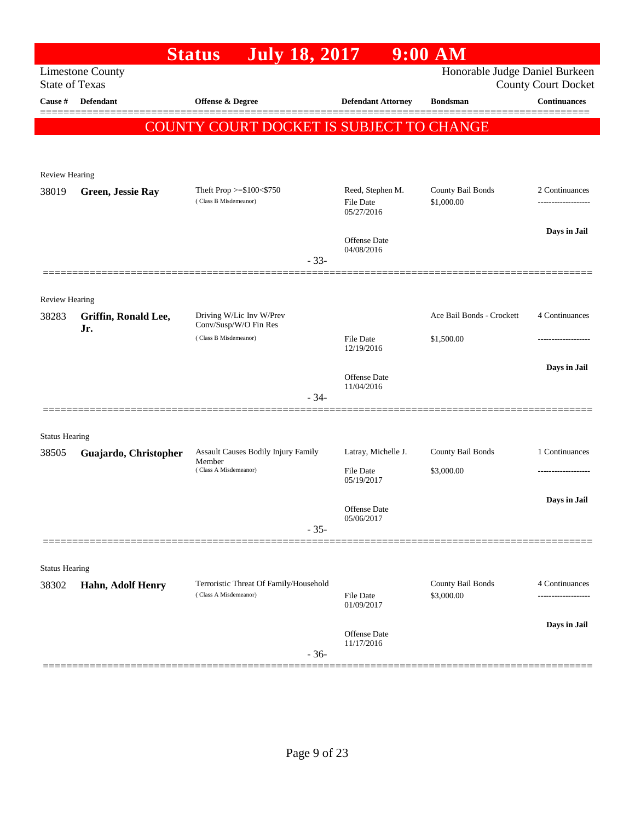|                       |                             | <b>July 18, 2017</b><br><b>Status</b>               |                                | $9:00$ AM                       |                            |
|-----------------------|-----------------------------|-----------------------------------------------------|--------------------------------|---------------------------------|----------------------------|
|                       | <b>Limestone County</b>     |                                                     |                                | Honorable Judge Daniel Burkeen  |                            |
| <b>State of Texas</b> |                             |                                                     |                                |                                 | <b>County Court Docket</b> |
| Cause #               | Defendant                   | Offense & Degree                                    | <b>Defendant Attorney</b>      | <b>Bondsman</b>                 | <b>Continuances</b>        |
|                       |                             | COUNTY COURT DOCKET IS SUBJECT TO CHANGE            |                                |                                 |                            |
|                       |                             |                                                     |                                |                                 |                            |
|                       |                             |                                                     |                                |                                 |                            |
| <b>Review Hearing</b> |                             |                                                     |                                |                                 |                            |
| 38019                 | Green, Jessie Ray           | Theft Prop $>=\$100<\$750$<br>(Class B Misdemeanor) | Reed, Stephen M.<br>File Date  | County Bail Bonds<br>\$1,000.00 | 2 Continuances             |
|                       |                             |                                                     | 05/27/2016                     |                                 |                            |
|                       |                             |                                                     | Offense Date                   |                                 | Days in Jail               |
|                       |                             | $-33-$                                              | 04/08/2016                     |                                 |                            |
|                       |                             |                                                     |                                |                                 |                            |
|                       |                             |                                                     |                                |                                 |                            |
| Review Hearing        |                             | Driving W/Lic Inv W/Prev                            |                                | Ace Bail Bonds - Crockett       | 4 Continuances             |
| 38283                 | Griffin, Ronald Lee,<br>Jr. | Conv/Susp/W/O Fin Res                               |                                |                                 |                            |
|                       |                             | (Class B Misdemeanor)                               | <b>File Date</b><br>12/19/2016 | \$1,500.00                      |                            |
|                       |                             |                                                     |                                |                                 | Days in Jail               |
|                       |                             |                                                     | Offense Date<br>11/04/2016     |                                 |                            |
|                       |                             | $-34-$                                              |                                |                                 |                            |
|                       |                             |                                                     |                                |                                 |                            |
| <b>Status Hearing</b> |                             |                                                     |                                |                                 |                            |
| 38505                 | Guajardo, Christopher       | Assault Causes Bodily Injury Family                 | Latray, Michelle J.            | County Bail Bonds               | 1 Continuances             |
|                       |                             | Member<br>(Class A Misdemeanor)                     | <b>File Date</b>               | \$3,000.00                      |                            |
|                       |                             |                                                     | 05/19/2017                     |                                 |                            |
|                       |                             |                                                     | Offense Date                   |                                 | Days in Jail               |
|                       |                             | $-35-$                                              | 05/06/2017                     |                                 |                            |
|                       |                             |                                                     |                                |                                 |                            |
| <b>Status Hearing</b> |                             |                                                     |                                |                                 |                            |
| 38302                 | Hahn, Adolf Henry           | Terroristic Threat Of Family/Household              |                                | County Bail Bonds               | 4 Continuances             |
|                       |                             | (Class A Misdemeanor)                               | File Date<br>01/09/2017        | \$3,000.00                      |                            |
|                       |                             |                                                     |                                |                                 |                            |
|                       |                             |                                                     | Offense Date                   |                                 | Days in Jail               |
|                       |                             | $-36-$                                              | 11/17/2016                     |                                 |                            |
|                       |                             |                                                     |                                |                                 |                            |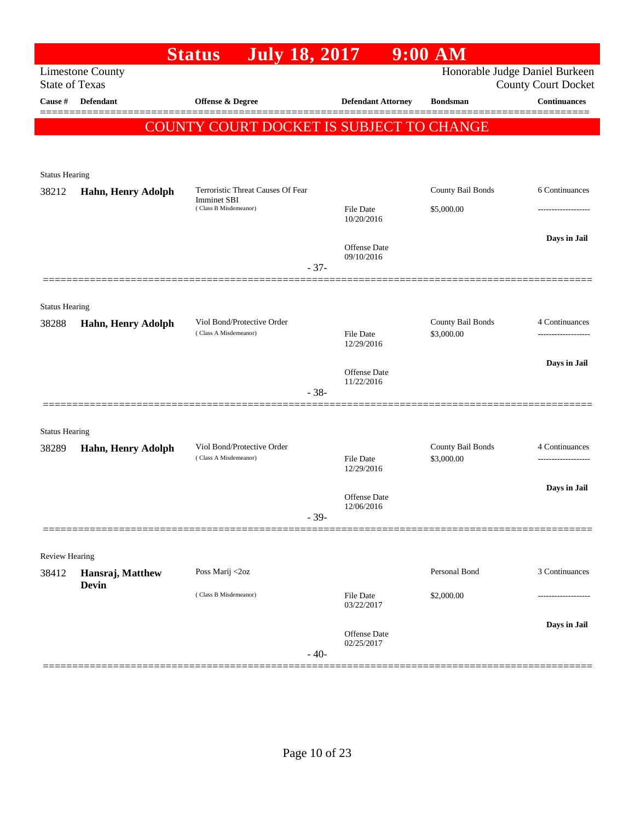|                                  |                         | <b>July 18, 2017</b><br><b>Status</b>       |        |                                | $9:00$ AM         |                                                   |
|----------------------------------|-------------------------|---------------------------------------------|--------|--------------------------------|-------------------|---------------------------------------------------|
|                                  | <b>Limestone County</b> |                                             |        |                                |                   | Honorable Judge Daniel Burkeen                    |
| <b>State of Texas</b><br>Cause # | Defendant               | Offense & Degree                            |        | <b>Defendant Attorney</b>      | <b>Bondsman</b>   | <b>County Court Docket</b><br><b>Continuances</b> |
|                                  |                         |                                             |        |                                |                   |                                                   |
|                                  |                         | COUNTY COURT DOCKET IS SUBJECT TO CHANGE    |        |                                |                   |                                                   |
|                                  |                         |                                             |        |                                |                   |                                                   |
| <b>Status Hearing</b>            |                         |                                             |        |                                |                   |                                                   |
| 38212                            | Hahn, Henry Adolph      | Terroristic Threat Causes Of Fear           |        |                                | County Bail Bonds | 6 Continuances                                    |
|                                  |                         | <b>Imminet SBI</b><br>(Class B Misdemeanor) |        | <b>File Date</b>               | \$5,000.00        | .                                                 |
|                                  |                         |                                             |        | 10/20/2016                     |                   |                                                   |
|                                  |                         |                                             |        | Offense Date                   |                   | Days in Jail                                      |
|                                  |                         |                                             |        | 09/10/2016                     |                   |                                                   |
|                                  |                         |                                             | $-37-$ |                                |                   |                                                   |
|                                  |                         |                                             |        |                                |                   |                                                   |
| <b>Status Hearing</b>            |                         | Viol Bond/Protective Order                  |        |                                | County Bail Bonds |                                                   |
| 38288                            | Hahn, Henry Adolph      | (Class A Misdemeanor)                       |        | <b>File Date</b>               | \$3,000.00        | 4 Continuances<br>Days in Jail                    |
|                                  |                         |                                             |        | 12/29/2016                     |                   |                                                   |
|                                  |                         |                                             |        | Offense Date                   |                   |                                                   |
|                                  |                         |                                             | $-38-$ | 11/22/2016                     |                   |                                                   |
|                                  |                         |                                             |        |                                |                   |                                                   |
| <b>Status Hearing</b>            |                         |                                             |        |                                |                   |                                                   |
| 38289                            | Hahn, Henry Adolph      | Viol Bond/Protective Order                  |        |                                | County Bail Bonds | 4 Continuances                                    |
|                                  |                         | (Class A Misdemeanor)                       |        | <b>File Date</b><br>12/29/2016 | \$3,000.00        | -------------------                               |
|                                  |                         |                                             |        |                                |                   | Days in Jail                                      |
|                                  |                         |                                             |        | Offense Date                   |                   |                                                   |
|                                  |                         |                                             | $-39-$ | 12/06/2016                     |                   |                                                   |
|                                  |                         |                                             |        |                                |                   |                                                   |
| Review Hearing                   |                         |                                             |        |                                |                   |                                                   |
| 38412                            | Hansraj, Matthew        | Poss Marij <2oz                             |        |                                | Personal Bond     | 3 Continuances                                    |
|                                  | <b>Devin</b>            | (Class B Misdemeanor)                       |        | File Date                      | \$2,000.00        |                                                   |
|                                  |                         |                                             |        | 03/22/2017                     |                   |                                                   |
|                                  |                         |                                             |        | Offense Date                   |                   | Days in Jail                                      |
|                                  |                         |                                             |        | 02/25/2017                     |                   |                                                   |
|                                  |                         |                                             | $-40-$ |                                |                   |                                                   |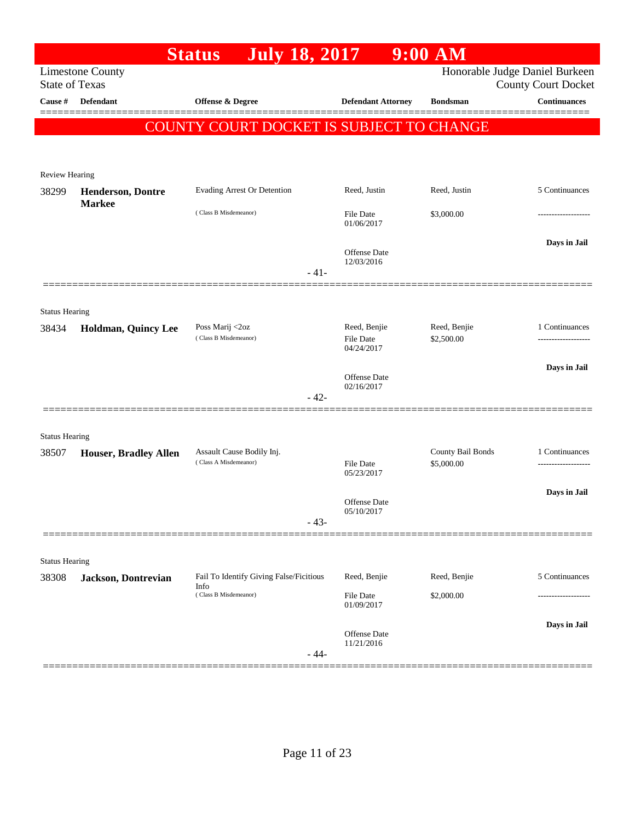|                       |                                                  | <b>July 18, 2017</b><br><b>Status</b>              |                                | $9:00$ AM                       |                            |
|-----------------------|--------------------------------------------------|----------------------------------------------------|--------------------------------|---------------------------------|----------------------------|
|                       | <b>Limestone County</b><br><b>State of Texas</b> |                                                    |                                | Honorable Judge Daniel Burkeen  | <b>County Court Docket</b> |
| Cause #               | <b>Defendant</b>                                 | <b>Offense &amp; Degree</b>                        | <b>Defendant Attorney</b>      | <b>Bondsman</b>                 | <b>Continuances</b>        |
|                       |                                                  |                                                    |                                |                                 | 2000000000                 |
|                       |                                                  | COUNTY COURT DOCKET IS SUBJECT TO CHANGE           |                                |                                 |                            |
|                       |                                                  |                                                    |                                |                                 |                            |
| Review Hearing        |                                                  |                                                    |                                |                                 |                            |
| 38299                 | <b>Henderson, Dontre</b><br><b>Markee</b>        | Evading Arrest Or Detention                        | Reed, Justin                   | Reed, Justin                    | 5 Continuances             |
|                       |                                                  | (Class B Misdemeanor)                              | <b>File Date</b><br>01/06/2017 | \$3,000.00                      |                            |
|                       |                                                  |                                                    | Offense Date<br>12/03/2016     |                                 | Days in Jail               |
|                       |                                                  | $-41-$                                             |                                |                                 |                            |
|                       |                                                  |                                                    |                                |                                 |                            |
| <b>Status Hearing</b> |                                                  | Poss Marij <2oz                                    | Reed, Benjie                   | Reed, Benjie                    | 1 Continuances             |
| 38434                 | Holdman, Quincy Lee                              | (Class B Misdemeanor)                              | File Date                      | \$2,500.00                      | .                          |
|                       |                                                  |                                                    | 04/24/2017                     |                                 |                            |
|                       |                                                  |                                                    | Offense Date<br>02/16/2017     |                                 | Days in Jail               |
|                       |                                                  | $-42-$                                             |                                |                                 |                            |
|                       |                                                  |                                                    |                                |                                 |                            |
| <b>Status Hearing</b> |                                                  |                                                    |                                |                                 |                            |
| 38507                 | <b>Houser, Bradley Allen</b>                     | Assault Cause Bodily Inj.<br>(Class A Misdemeanor) | <b>File Date</b>               | County Bail Bonds<br>\$5,000.00 | 1 Continuances             |
|                       |                                                  |                                                    | 05/23/2017                     |                                 |                            |
|                       |                                                  |                                                    | <b>Offense</b> Date            |                                 | Days in Jail               |
|                       |                                                  | $-43-$                                             | 05/10/2017                     |                                 |                            |
|                       |                                                  |                                                    |                                |                                 |                            |
| <b>Status Hearing</b> |                                                  |                                                    |                                |                                 |                            |
| 38308                 | <b>Jackson</b> , Dontrevian                      | Fail To Identify Giving False/Ficitious<br>Info    | Reed, Benjie                   | Reed, Benjie                    | 5 Continuances             |
|                       |                                                  | (Class B Misdemeanor)                              | File Date<br>01/09/2017        | \$2,000.00                      |                            |
|                       |                                                  |                                                    |                                |                                 | Days in Jail               |
|                       |                                                  |                                                    | Offense Date<br>11/21/2016     |                                 |                            |
|                       |                                                  | $-44-$                                             |                                |                                 |                            |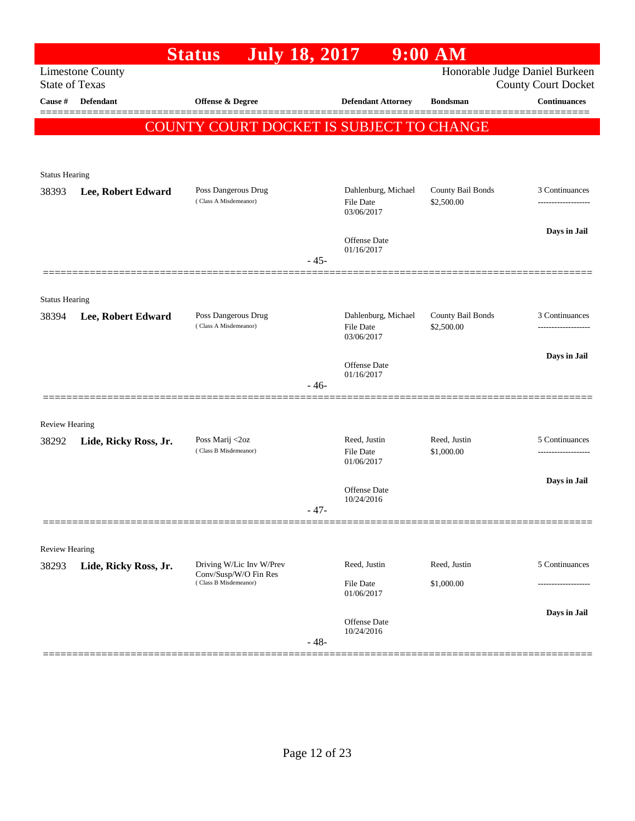|                       |                         | <b>Status</b>                                  | <b>July 18, 2017</b> |                                                       | $9:00$ AM                       |                                                              |
|-----------------------|-------------------------|------------------------------------------------|----------------------|-------------------------------------------------------|---------------------------------|--------------------------------------------------------------|
| <b>State of Texas</b> | <b>Limestone County</b> |                                                |                      |                                                       |                                 | Honorable Judge Daniel Burkeen<br><b>County Court Docket</b> |
| Cause #               | <b>Defendant</b>        | Offense & Degree                               |                      | <b>Defendant Attorney</b>                             | <b>Bondsman</b>                 | <b>Continuances</b><br>======                                |
|                       |                         | COUNTY COURT DOCKET IS SUBJECT TO CHANGE       |                      |                                                       |                                 |                                                              |
|                       |                         |                                                |                      |                                                       |                                 |                                                              |
| <b>Status Hearing</b> |                         |                                                |                      |                                                       |                                 |                                                              |
| 38393                 | Lee, Robert Edward      | Poss Dangerous Drug<br>(Class A Misdemeanor)   |                      | Dahlenburg, Michael<br>File Date<br>03/06/2017        | County Bail Bonds<br>\$2,500.00 | 3 Continuances                                               |
|                       |                         |                                                |                      | <b>Offense Date</b><br>01/16/2017                     |                                 | Days in Jail                                                 |
|                       |                         |                                                | $-45-$               |                                                       |                                 |                                                              |
| <b>Status Hearing</b> |                         |                                                |                      |                                                       |                                 |                                                              |
| 38394                 | Lee, Robert Edward      | Poss Dangerous Drug<br>(Class A Misdemeanor)   |                      | Dahlenburg, Michael<br><b>File Date</b><br>03/06/2017 | County Bail Bonds<br>\$2,500.00 | 3 Continuances<br>-------------------                        |
|                       |                         |                                                |                      |                                                       |                                 | Days in Jail                                                 |
|                       |                         |                                                | $-46-$               | <b>Offense Date</b><br>01/16/2017                     |                                 |                                                              |
|                       |                         |                                                |                      |                                                       |                                 |                                                              |
| <b>Review Hearing</b> |                         |                                                |                      |                                                       |                                 |                                                              |
| 38292                 | Lide, Ricky Ross, Jr.   | Poss Marij <2oz<br>(Class B Misdemeanor)       |                      | Reed, Justin<br><b>File Date</b><br>01/06/2017        | Reed, Justin<br>\$1,000.00      | 5 Continuances<br>                                           |
|                       |                         |                                                |                      | Offense Date                                          |                                 | Days in Jail                                                 |
|                       |                         |                                                | - 47-                | 10/24/2016                                            |                                 |                                                              |
| Review Hearing        |                         |                                                |                      |                                                       |                                 |                                                              |
| 38293                 | Lide, Ricky Ross, Jr.   | Driving W/Lic Inv W/Prev                       |                      | Reed, Justin                                          | Reed, Justin                    | 5 Continuances                                               |
|                       |                         | Conv/Susp/W/O Fin Res<br>(Class B Misdemeanor) |                      | File Date<br>01/06/2017                               | \$1,000.00                      |                                                              |
|                       |                         |                                                | $-48-$               | <b>Offense Date</b><br>10/24/2016                     |                                 | Days in Jail                                                 |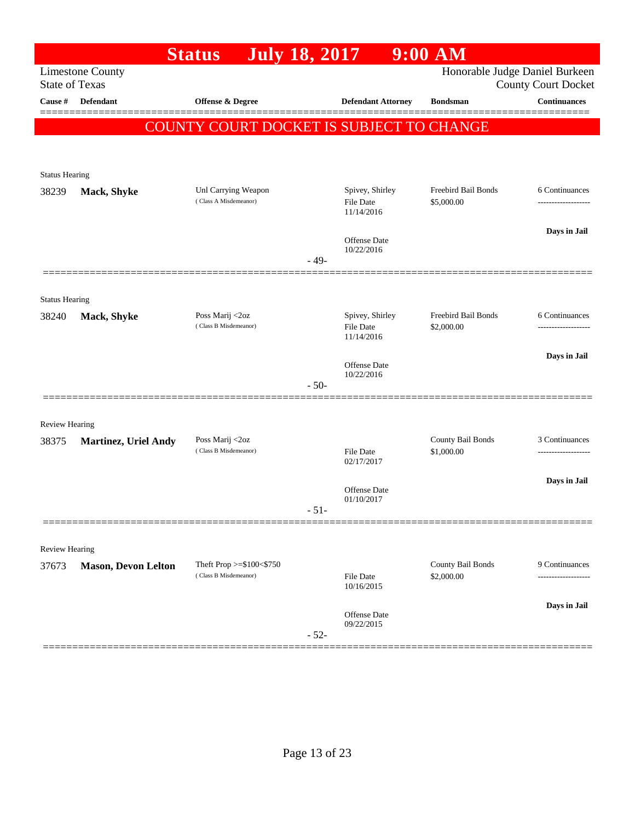|                         |                             | <b>July 18, 2017</b><br><b>Status</b>             |        |                              | $9:00$ AM                         |                                                   |
|-------------------------|-----------------------------|---------------------------------------------------|--------|------------------------------|-----------------------------------|---------------------------------------------------|
| <b>State of Texas</b>   | <b>Limestone County</b>     |                                                   |        |                              |                                   | Honorable Judge Daniel Burkeen                    |
| Cause #                 | Defendant                   | Offense & Degree                                  |        | <b>Defendant Attorney</b>    | <b>Bondsman</b>                   | <b>County Court Docket</b><br><b>Continuances</b> |
|                         |                             |                                                   |        |                              |                                   |                                                   |
|                         |                             | COUNTY COURT DOCKET IS SUBJECT TO CHANGE          |        |                              |                                   |                                                   |
|                         |                             |                                                   |        |                              |                                   |                                                   |
| <b>Status Hearing</b>   |                             |                                                   |        |                              |                                   |                                                   |
| 38239                   | Mack, Shyke                 | Unl Carrying Weapon<br>(Class A Misdemeanor)      |        | Spivey, Shirley<br>File Date | Freebird Bail Bonds<br>\$5,000.00 | 6 Continuances<br>-------------------             |
|                         |                             |                                                   |        | 11/14/2016                   |                                   |                                                   |
|                         |                             |                                                   |        | <b>Offense</b> Date          |                                   | Days in Jail                                      |
|                         |                             |                                                   | $-49-$ | 10/22/2016                   |                                   |                                                   |
|                         |                             |                                                   |        |                              |                                   |                                                   |
| <b>Status Hearing</b>   |                             |                                                   |        |                              |                                   |                                                   |
| 38240                   | Mack, Shyke                 | Poss Marij <2oz                                   |        | Spivey, Shirley              | Freebird Bail Bonds               | 6 Continuances                                    |
|                         |                             | (Class B Misdemeanor)                             |        | File Date<br>11/14/2016      | \$2,000.00                        |                                                   |
|                         |                             |                                                   |        |                              |                                   | Days in Jail                                      |
|                         |                             |                                                   |        | Offense Date<br>10/22/2016   |                                   |                                                   |
|                         |                             |                                                   | $-50-$ |                              |                                   |                                                   |
|                         |                             |                                                   |        |                              |                                   |                                                   |
| Review Hearing<br>38375 | <b>Martinez, Uriel Andy</b> | Poss Marij <2oz                                   |        |                              | County Bail Bonds                 | 3 Continuances                                    |
|                         |                             | (Class B Misdemeanor)                             |        | File Date<br>02/17/2017      | \$1,000.00                        |                                                   |
|                         |                             |                                                   |        |                              |                                   | Days in Jail                                      |
|                         |                             |                                                   |        | Offense Date<br>01/10/2017   |                                   |                                                   |
|                         |                             |                                                   | $-51-$ |                              |                                   |                                                   |
|                         |                             |                                                   |        |                              |                                   |                                                   |
| Review Hearing          |                             |                                                   |        |                              |                                   |                                                   |
| 37673                   | <b>Mason, Devon Lelton</b>  | Theft Prop >=\$100<\$750<br>(Class B Misdemeanor) |        | <b>File Date</b>             | County Bail Bonds<br>\$2,000.00   | 9 Continuances<br>---------                       |
|                         |                             |                                                   |        | 10/16/2015                   |                                   |                                                   |
|                         |                             |                                                   |        | Offense Date                 |                                   | Days in Jail                                      |
|                         |                             |                                                   | $-52-$ | 09/22/2015                   |                                   |                                                   |
|                         |                             |                                                   |        |                              |                                   |                                                   |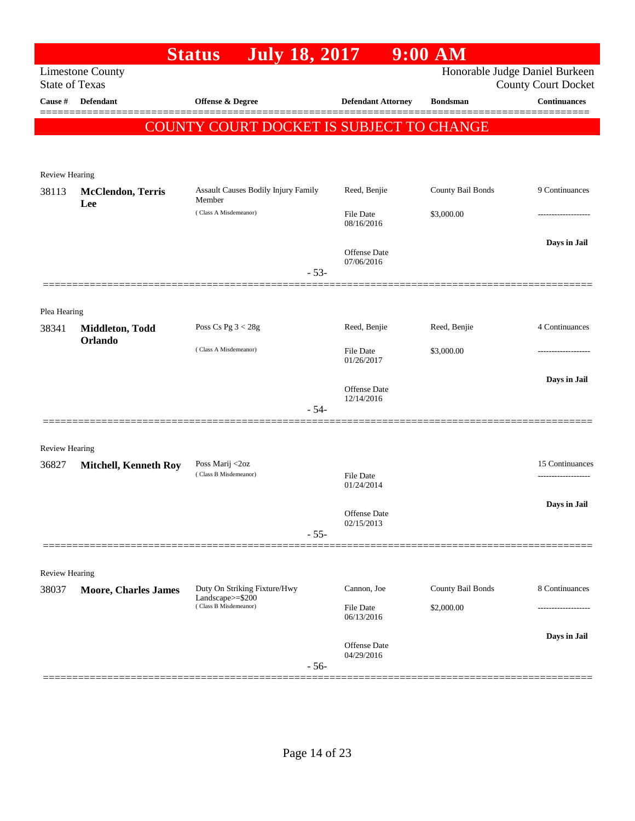|                                  |                                 | <b>July 18, 2017</b><br><b>Status</b>            |                  |                                   | $9:00$ AM         |                                                   |
|----------------------------------|---------------------------------|--------------------------------------------------|------------------|-----------------------------------|-------------------|---------------------------------------------------|
|                                  | <b>Limestone County</b>         |                                                  |                  |                                   |                   | Honorable Judge Daniel Burkeen                    |
| <b>State of Texas</b><br>Cause # | Defendant                       | Offense & Degree                                 |                  | <b>Defendant Attorney</b>         | <b>Bondsman</b>   | <b>County Court Docket</b><br><b>Continuances</b> |
|                                  |                                 |                                                  |                  |                                   |                   |                                                   |
|                                  |                                 | COUNTY COURT DOCKET IS SUBJECT TO CHANGE         |                  |                                   |                   |                                                   |
|                                  |                                 |                                                  |                  |                                   |                   |                                                   |
| Review Hearing                   |                                 |                                                  |                  |                                   |                   |                                                   |
| 38113                            | <b>McClendon, Terris</b><br>Lee | Assault Causes Bodily Injury Family<br>Member    |                  | Reed, Benjie                      | County Bail Bonds | 9 Continuances                                    |
|                                  |                                 | (Class A Misdemeanor)                            | <b>File Date</b> | 08/16/2016                        | \$3,000.00        |                                                   |
|                                  |                                 |                                                  |                  |                                   |                   | Days in Jail                                      |
|                                  |                                 |                                                  |                  | Offense Date<br>07/06/2016        |                   |                                                   |
|                                  |                                 |                                                  | $-53-$           |                                   |                   |                                                   |
|                                  |                                 |                                                  |                  |                                   |                   |                                                   |
| Plea Hearing<br>38341            | Middleton, Todd                 | Poss Cs Pg $3 < 28g$                             |                  | Reed, Benjie                      | Reed, Benjie      | 4 Continuances                                    |
|                                  | Orlando                         |                                                  |                  |                                   |                   |                                                   |
|                                  |                                 | (Class A Misdemeanor)                            | <b>File Date</b> | 01/26/2017                        | \$3,000.00        |                                                   |
|                                  |                                 |                                                  |                  |                                   |                   | Days in Jail                                      |
|                                  |                                 |                                                  |                  | Offense Date<br>12/14/2016        |                   |                                                   |
|                                  |                                 |                                                  | $-54-$           |                                   |                   |                                                   |
|                                  |                                 |                                                  |                  |                                   |                   |                                                   |
| Review Hearing<br>36827          | <b>Mitchell, Kenneth Roy</b>    | Poss Marij <2oz                                  |                  |                                   |                   | 15 Continuances                                   |
|                                  |                                 | (Class B Misdemeanor)                            | File Date        | 01/24/2014                        |                   |                                                   |
|                                  |                                 |                                                  |                  |                                   |                   | Days in Jail                                      |
|                                  |                                 |                                                  |                  | <b>Offense</b> Date<br>02/15/2013 |                   |                                                   |
|                                  |                                 |                                                  | $-55-$           |                                   |                   |                                                   |
|                                  |                                 |                                                  |                  |                                   |                   |                                                   |
| <b>Review Hearing</b>            |                                 |                                                  |                  |                                   |                   |                                                   |
| 38037                            | <b>Moore, Charles James</b>     | Duty On Striking Fixture/Hwy<br>Landscape>=\$200 |                  | Cannon, Joe                       | County Bail Bonds | 8 Continuances                                    |
|                                  |                                 | (Class B Misdemeanor)                            | File Date        | 06/13/2016                        | \$2,000.00        |                                                   |
|                                  |                                 |                                                  |                  |                                   |                   | Days in Jail                                      |
|                                  |                                 |                                                  |                  | Offense Date<br>04/29/2016        |                   |                                                   |
|                                  |                                 |                                                  | $-56-$           |                                   |                   |                                                   |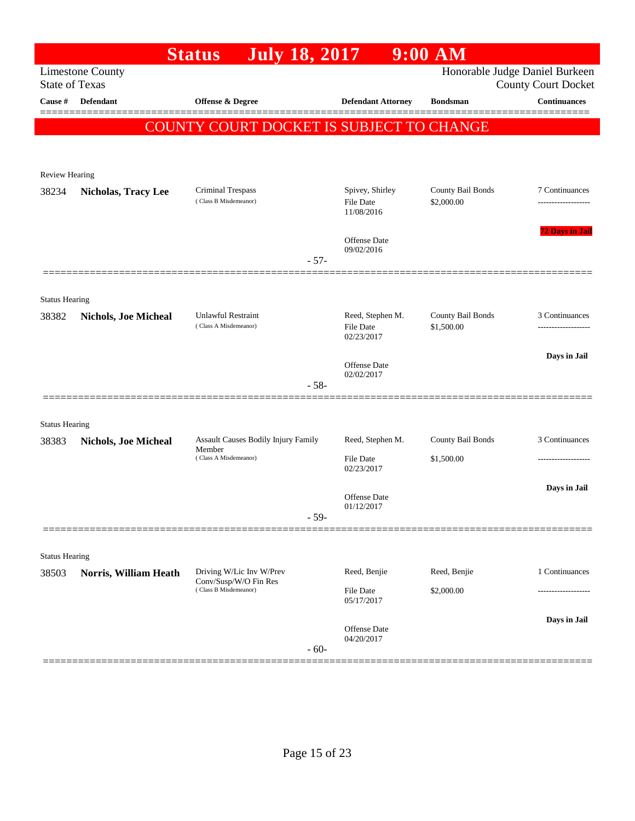| <b>State of Texas</b>          | <b>Limestone County</b>     | <b>July 18, 2017</b>                              |        |                            | Honorable Judge Daniel Burkeen |                                                   |
|--------------------------------|-----------------------------|---------------------------------------------------|--------|----------------------------|--------------------------------|---------------------------------------------------|
|                                |                             |                                                   |        |                            |                                |                                                   |
| Cause #                        | Defendant                   | Offense & Degree                                  |        | <b>Defendant Attorney</b>  | <b>Bondsman</b>                | <b>County Court Docket</b><br><b>Continuances</b> |
|                                |                             |                                                   |        |                            |                                |                                                   |
|                                |                             | COUNTY COURT DOCKET IS SUBJECT TO CHANGE          |        |                            |                                |                                                   |
|                                |                             |                                                   |        |                            |                                |                                                   |
| Review Hearing                 |                             |                                                   |        |                            |                                |                                                   |
| 38234                          | <b>Nicholas, Tracy Lee</b>  | <b>Criminal Trespass</b>                          |        | Spivey, Shirley            | County Bail Bonds              | 7 Continuances                                    |
|                                |                             | (Class B Misdemeanor)                             |        | File Date<br>11/08/2016    | \$2,000.00                     |                                                   |
|                                |                             |                                                   |        | Offense Date               |                                | <b>72 Days in Jail</b>                            |
|                                |                             |                                                   | $-57-$ | 09/02/2016                 |                                |                                                   |
|                                |                             |                                                   |        |                            |                                |                                                   |
|                                |                             |                                                   |        |                            |                                |                                                   |
| <b>Status Hearing</b><br>38382 | <b>Nichols, Joe Micheal</b> | Unlawful Restraint                                |        | Reed, Stephen M.           | County Bail Bonds              | 3 Continuances                                    |
|                                |                             | (Class A Misdemeanor)                             |        | File Date<br>02/23/2017    | \$1,500.00                     |                                                   |
|                                |                             |                                                   |        |                            |                                |                                                   |
|                                |                             |                                                   |        | <b>Offense</b> Date        |                                | Days in Jail                                      |
|                                |                             |                                                   | $-58-$ | 02/02/2017                 |                                |                                                   |
|                                |                             |                                                   |        |                            |                                |                                                   |
| <b>Status Hearing</b>          |                             |                                                   |        |                            |                                |                                                   |
| 38383                          | <b>Nichols, Joe Micheal</b> | Assault Causes Bodily Injury Family<br>Member     |        | Reed, Stephen M.           | County Bail Bonds              | 3 Continuances                                    |
|                                |                             | (Class A Misdemeanor)                             |        | File Date<br>02/23/2017    | \$1,500.00                     |                                                   |
|                                |                             |                                                   |        |                            |                                | Days in Jail                                      |
|                                |                             |                                                   |        | Offense Date<br>01/12/2017 |                                |                                                   |
|                                |                             |                                                   | $-59-$ |                            |                                |                                                   |
|                                |                             |                                                   |        |                            |                                |                                                   |
| <b>Status Hearing</b>          |                             |                                                   |        |                            |                                |                                                   |
| 38503                          | Norris, William Heath       | Driving W/Lic Inv W/Prev<br>Conv/Susp/W/O Fin Res |        | Reed, Benjie               | Reed, Benjie                   | 1 Continuances                                    |
|                                |                             | (Class B Misdemeanor)                             |        | File Date<br>05/17/2017    | \$2,000.00                     |                                                   |
|                                |                             |                                                   |        |                            |                                | Days in Jail                                      |
|                                |                             |                                                   |        | Offense Date<br>04/20/2017 |                                |                                                   |
|                                |                             |                                                   | $-60-$ |                            |                                |                                                   |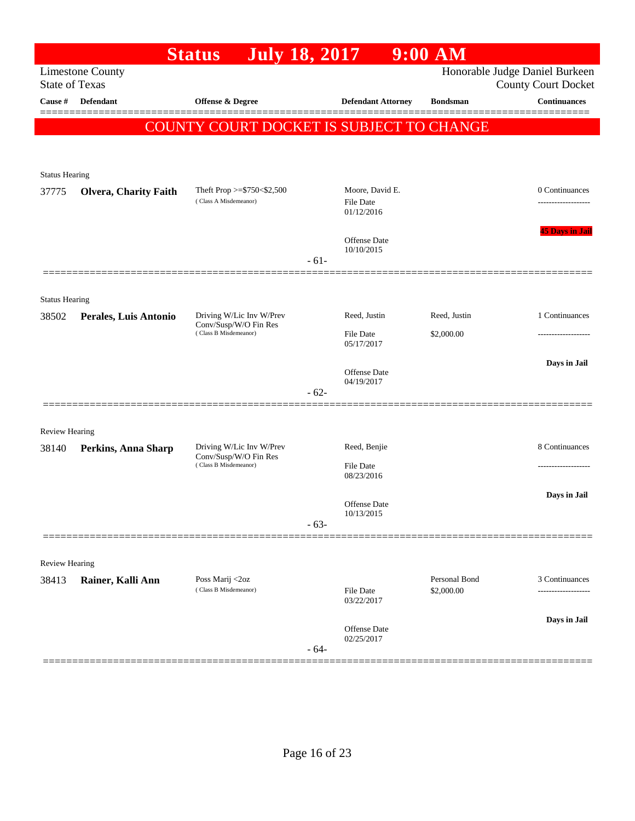|                       |                              | <b>July 18, 2017</b><br><b>Status</b>                    |        |                                            | $9:00$ AM                   |                                                              |
|-----------------------|------------------------------|----------------------------------------------------------|--------|--------------------------------------------|-----------------------------|--------------------------------------------------------------|
| <b>State of Texas</b> | <b>Limestone County</b>      |                                                          |        |                                            |                             | Honorable Judge Daniel Burkeen<br><b>County Court Docket</b> |
| Cause #               | <b>Defendant</b>             | Offense & Degree                                         |        | <b>Defendant Attorney</b>                  | <b>Bondsman</b>             | <b>Continuances</b><br>▆▆▆▆▆▆▆▆                              |
|                       |                              | COUNTY COURT DOCKET IS SUBJECT TO CHANGE                 |        |                                            |                             |                                                              |
|                       |                              |                                                          |        |                                            |                             |                                                              |
| <b>Status Hearing</b> |                              |                                                          |        |                                            |                             |                                                              |
| 37775                 | <b>Olvera, Charity Faith</b> | Theft Prop $>=$ \$750 < \$2,500<br>(Class A Misdemeanor) |        | Moore, David E.<br>File Date<br>01/12/2016 |                             | 0 Continuances                                               |
|                       |                              |                                                          | $-61-$ | Offense Date<br>10/10/2015                 |                             | <b>45 Days in Jail</b>                                       |
|                       |                              |                                                          |        |                                            |                             |                                                              |
| <b>Status Hearing</b> |                              |                                                          |        |                                            |                             |                                                              |
| 38502                 | Perales, Luis Antonio        | Driving W/Lic Inv W/Prev<br>Conv/Susp/W/O Fin Res        |        | Reed, Justin                               | Reed, Justin                | 1 Continuances                                               |
|                       |                              | (Class B Misdemeanor)                                    |        | File Date<br>05/17/2017                    | \$2,000.00                  |                                                              |
|                       |                              |                                                          |        | Offense Date                               |                             | Days in Jail                                                 |
|                       |                              |                                                          | $-62-$ | 04/19/2017                                 |                             |                                                              |
| <b>Review Hearing</b> |                              |                                                          |        |                                            |                             |                                                              |
| 38140                 | Perkins, Anna Sharp          | Driving W/Lic Inv W/Prev<br>Conv/Susp/W/O Fin Res        |        | Reed, Benjie                               |                             | 8 Continuances                                               |
|                       |                              | (Class B Misdemeanor)                                    |        | File Date<br>08/23/2016                    |                             |                                                              |
|                       |                              |                                                          | $-63-$ | Offense Date<br>10/13/2015                 |                             | Days in Jail                                                 |
|                       |                              |                                                          |        |                                            |                             |                                                              |
| <b>Review Hearing</b> |                              |                                                          |        |                                            |                             |                                                              |
| 38413                 | Rainer, Kalli Ann            | Poss Marij <2oz<br>(Class B Misdemeanor)                 |        | <b>File Date</b><br>03/22/2017             | Personal Bond<br>\$2,000.00 | 3 Continuances                                               |
|                       |                              |                                                          | $-64-$ | Offense Date<br>02/25/2017                 |                             | Days in Jail                                                 |
|                       |                              |                                                          |        |                                            |                             |                                                              |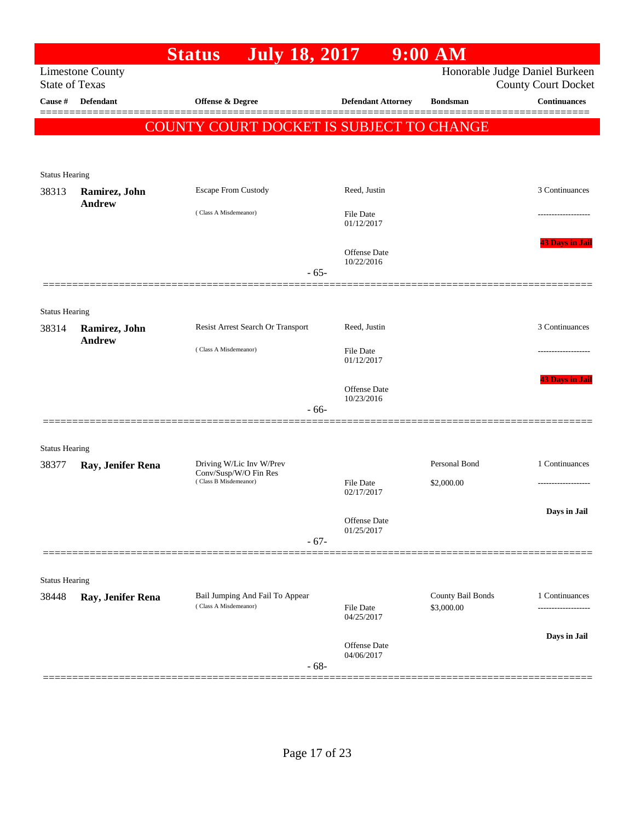|                                |                                | <b>July 18, 2017</b><br><b>Status</b>          |                                | $9:00$ AM         |                                                              |
|--------------------------------|--------------------------------|------------------------------------------------|--------------------------------|-------------------|--------------------------------------------------------------|
| <b>State of Texas</b>          | <b>Limestone County</b>        |                                                |                                |                   | Honorable Judge Daniel Burkeen<br><b>County Court Docket</b> |
| Cause #                        | <b>Defendant</b>               | <b>Offense &amp; Degree</b>                    | <b>Defendant Attorney</b>      | <b>Bondsman</b>   | <b>Continuances</b>                                          |
|                                |                                | COUNTY COURT DOCKET IS SUBJECT TO CHANGE       |                                |                   | ========                                                     |
|                                |                                |                                                |                                |                   |                                                              |
|                                |                                |                                                |                                |                   |                                                              |
| <b>Status Hearing</b>          |                                |                                                |                                |                   |                                                              |
| 38313                          | Ramirez, John<br><b>Andrew</b> | <b>Escape From Custody</b>                     | Reed, Justin                   |                   | 3 Continuances                                               |
|                                |                                | (Class A Misdemeanor)                          | <b>File Date</b><br>01/12/2017 |                   |                                                              |
|                                |                                |                                                | Offense Date                   |                   | <b>43 Days in Jail</b>                                       |
|                                |                                | $-65-$                                         | 10/22/2016                     |                   |                                                              |
|                                |                                |                                                |                                |                   |                                                              |
|                                |                                |                                                |                                |                   |                                                              |
| <b>Status Hearing</b><br>38314 | Ramirez, John                  | Resist Arrest Search Or Transport              | Reed, Justin                   |                   | 3 Continuances                                               |
|                                | <b>Andrew</b>                  |                                                |                                |                   |                                                              |
|                                |                                | (Class A Misdemeanor)                          | <b>File Date</b><br>01/12/2017 |                   |                                                              |
|                                |                                |                                                |                                |                   | <b>43 Days in Jail</b>                                       |
|                                |                                |                                                | Offense Date<br>10/23/2016     |                   |                                                              |
|                                |                                | $-66-$                                         |                                |                   |                                                              |
|                                |                                |                                                |                                |                   |                                                              |
| <b>Status Hearing</b><br>38377 | Ray, Jenifer Rena              | Driving W/Lic Inv W/Prev                       |                                | Personal Bond     | 1 Continuances                                               |
|                                |                                | Conv/Susp/W/O Fin Res<br>(Class B Misdemeanor) | File Date                      | \$2,000.00        |                                                              |
|                                |                                |                                                | 02/17/2017                     |                   |                                                              |
|                                |                                |                                                | Offense Date                   |                   | Days in Jail                                                 |
|                                |                                | $-67-$                                         | 01/25/2017                     |                   |                                                              |
|                                |                                |                                                |                                |                   |                                                              |
|                                |                                |                                                |                                |                   |                                                              |
| <b>Status Hearing</b><br>38448 | Ray, Jenifer Rena              | Bail Jumping And Fail To Appear                |                                | County Bail Bonds | 1 Continuances                                               |
|                                |                                | (Class A Misdemeanor)                          | File Date<br>04/25/2017        | \$3,000.00        |                                                              |
|                                |                                |                                                |                                |                   |                                                              |
|                                |                                |                                                | Offense Date<br>04/06/2017     |                   | Days in Jail                                                 |
|                                |                                | $-68-$                                         |                                |                   |                                                              |
|                                |                                |                                                |                                |                   |                                                              |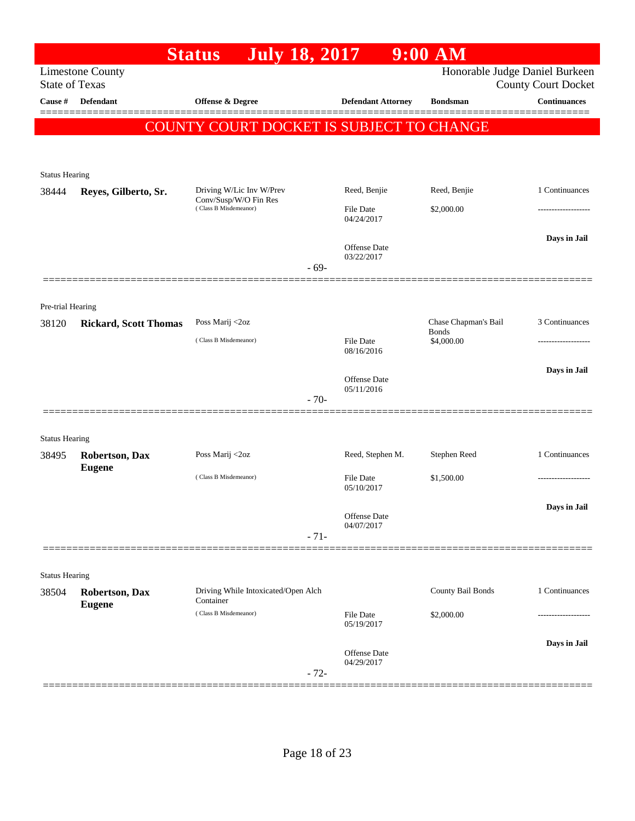|                            |                              | <b>July 18, 2017</b><br><b>Status</b>            |        |                           | $9:00$ AM                      |                            |
|----------------------------|------------------------------|--------------------------------------------------|--------|---------------------------|--------------------------------|----------------------------|
| <b>State of Texas</b>      | <b>Limestone County</b>      |                                                  |        |                           | Honorable Judge Daniel Burkeen | <b>County Court Docket</b> |
| Cause #                    | <b>Defendant</b>             | <b>Offense &amp; Degree</b>                      |        | <b>Defendant Attorney</b> | <b>Bondsman</b>                | <b>Continuances</b>        |
|                            |                              | COUNTY COURT DOCKET IS SUBJECT TO CHANGE         |        |                           |                                |                            |
|                            |                              |                                                  |        |                           |                                |                            |
|                            |                              |                                                  |        |                           |                                |                            |
| <b>Status Hearing</b>      |                              | Driving W/Lic Inv W/Prev                         |        | Reed, Benjie              | Reed, Benjie                   | 1 Continuances             |
| 38444                      | Reyes, Gilberto, Sr.         | Conv/Susp/W/O Fin Res<br>(Class B Misdemeanor)   |        | File Date                 | \$2,000.00                     | ---------------            |
|                            |                              |                                                  |        | 04/24/2017                |                                |                            |
|                            |                              |                                                  |        | <b>Offense</b> Date       |                                | Days in Jail               |
|                            |                              |                                                  |        | 03/22/2017                |                                |                            |
|                            |                              |                                                  | $-69-$ |                           |                                |                            |
|                            |                              |                                                  |        |                           |                                |                            |
| Pre-trial Hearing<br>38120 | <b>Rickard, Scott Thomas</b> | Poss Marij <2oz                                  |        |                           | Chase Chapman's Bail           | 3 Continuances             |
|                            |                              | (Class B Misdemeanor)                            |        | <b>File Date</b>          | <b>Bonds</b><br>\$4,000.00     | -------------------        |
|                            |                              |                                                  |        | 08/16/2016                |                                |                            |
|                            |                              |                                                  |        | Offense Date              |                                | Days in Jail               |
|                            |                              |                                                  | $-70-$ | 05/11/2016                |                                |                            |
|                            |                              |                                                  |        |                           |                                |                            |
| <b>Status Hearing</b>      |                              |                                                  |        |                           |                                |                            |
| 38495                      | <b>Robertson, Dax</b>        | Poss Marij <2oz                                  |        | Reed, Stephen M.          | Stephen Reed                   | 1 Continuances             |
|                            | <b>Eugene</b>                | (Class B Misdemeanor)                            |        | File Date                 | \$1,500.00                     |                            |
|                            |                              |                                                  |        | 05/10/2017                |                                |                            |
|                            |                              |                                                  |        | Offense Date              |                                | Days in Jail               |
|                            |                              |                                                  | $-71-$ | 04/07/2017                |                                |                            |
|                            |                              |                                                  |        |                           |                                |                            |
| <b>Status Hearing</b>      |                              |                                                  |        |                           |                                |                            |
| 38504                      | Robertson, Dax               | Driving While Intoxicated/Open Alch<br>Container |        |                           | County Bail Bonds              | 1 Continuances             |
|                            | <b>Eugene</b>                | (Class B Misdemeanor)                            |        | File Date                 | \$2,000.00                     |                            |
|                            |                              |                                                  |        | 05/19/2017                |                                |                            |
|                            |                              |                                                  |        | Offense Date              |                                | Days in Jail               |
|                            |                              |                                                  | $-72-$ | 04/29/2017                |                                |                            |
|                            |                              |                                                  |        |                           |                                |                            |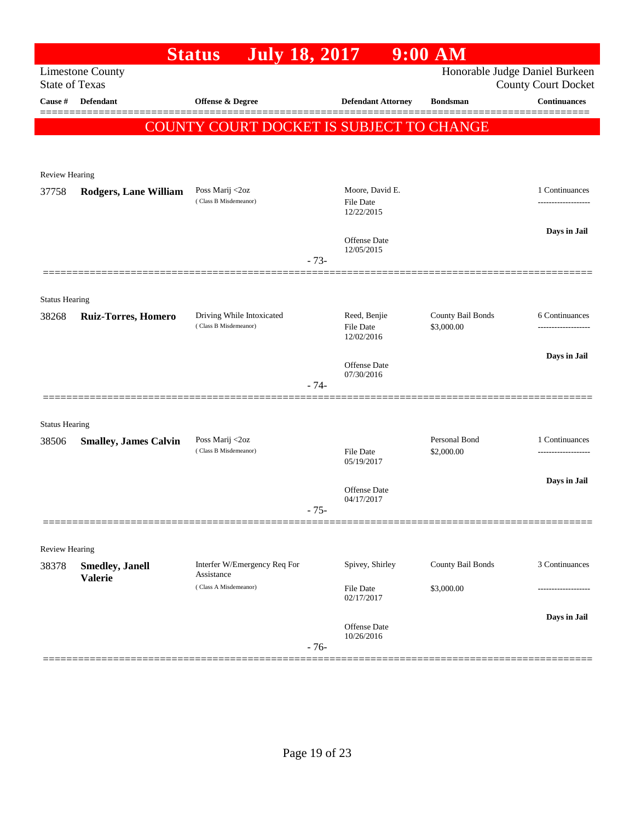|                                  |                              | <b>July 18, 2017</b><br><b>Status</b>              |        |                                  | 9:00 AM                         |                                                   |
|----------------------------------|------------------------------|----------------------------------------------------|--------|----------------------------------|---------------------------------|---------------------------------------------------|
|                                  | <b>Limestone County</b>      |                                                    |        |                                  |                                 | Honorable Judge Daniel Burkeen                    |
| <b>State of Texas</b><br>Cause # | <b>Defendant</b>             | Offense & Degree                                   |        | <b>Defendant Attorney</b>        | <b>Bondsman</b>                 | <b>County Court Docket</b><br><b>Continuances</b> |
|                                  |                              |                                                    |        |                                  |                                 |                                                   |
|                                  |                              | <b>COUNTY COURT DOCKET IS SUBJECT TO CHANGE</b>    |        |                                  |                                 |                                                   |
|                                  |                              |                                                    |        |                                  |                                 |                                                   |
| Review Hearing                   |                              |                                                    |        |                                  |                                 |                                                   |
| 37758                            | <b>Rodgers, Lane William</b> | Poss Marij <2oz                                    |        | Moore, David E.                  |                                 | 1 Continuances                                    |
|                                  |                              | (Class B Misdemeanor)                              |        | File Date<br>12/22/2015          |                                 |                                                   |
|                                  |                              |                                                    |        |                                  |                                 | Days in Jail                                      |
|                                  |                              |                                                    |        | Offense Date<br>12/05/2015       |                                 |                                                   |
|                                  |                              |                                                    | $-73-$ |                                  |                                 |                                                   |
|                                  |                              |                                                    |        |                                  |                                 |                                                   |
| <b>Status Hearing</b>            |                              |                                                    |        |                                  |                                 |                                                   |
| 38268                            | <b>Ruiz-Torres, Homero</b>   | Driving While Intoxicated<br>(Class B Misdemeanor) |        | Reed, Benjie<br><b>File Date</b> | County Bail Bonds<br>\$3,000.00 | 6 Continuances                                    |
|                                  |                              |                                                    |        | 12/02/2016                       |                                 |                                                   |
|                                  |                              |                                                    |        | Offense Date                     |                                 | Days in Jail                                      |
|                                  |                              |                                                    |        | 07/30/2016                       |                                 |                                                   |
|                                  |                              |                                                    | - 74-  |                                  |                                 |                                                   |
|                                  |                              |                                                    |        |                                  |                                 |                                                   |
| <b>Status Hearing</b><br>38506   | <b>Smalley, James Calvin</b> | Poss Marij <2oz                                    |        |                                  | Personal Bond                   | 1 Continuances                                    |
|                                  |                              | (Class B Misdemeanor)                              |        | File Date<br>05/19/2017          | \$2,000.00                      |                                                   |
|                                  |                              |                                                    |        |                                  |                                 |                                                   |
|                                  |                              |                                                    |        | Offense Date                     |                                 | Days in Jail                                      |
|                                  |                              |                                                    | $-75-$ | 04/17/2017                       |                                 |                                                   |
|                                  |                              |                                                    |        |                                  |                                 |                                                   |
| Review Hearing                   |                              |                                                    |        |                                  |                                 |                                                   |
| 38378                            | <b>Smedley</b> , Janell      | Interfer W/Emergency Req For<br>Assistance         |        | Spivey, Shirley                  | County Bail Bonds               | 3 Continuances                                    |
|                                  | <b>Valerie</b>               | (Class A Misdemeanor)                              |        | File Date                        | \$3,000.00                      |                                                   |
|                                  |                              |                                                    |        | 02/17/2017                       |                                 |                                                   |
|                                  |                              |                                                    |        | Offense Date                     |                                 | Days in Jail                                      |
|                                  |                              |                                                    | $-76-$ | 10/26/2016                       |                                 |                                                   |
|                                  |                              |                                                    |        |                                  |                                 |                                                   |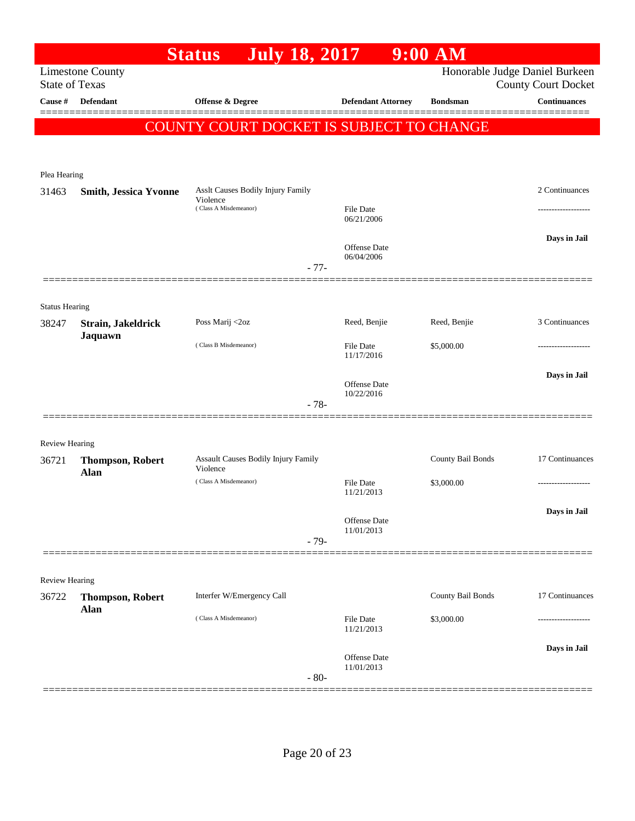|                                  |                              | <b>July 18, 2017</b><br><b>Status</b>           |                                | $9:00$ AM         |                                                   |
|----------------------------------|------------------------------|-------------------------------------------------|--------------------------------|-------------------|---------------------------------------------------|
|                                  | <b>Limestone County</b>      |                                                 |                                |                   | Honorable Judge Daniel Burkeen                    |
| <b>State of Texas</b><br>Cause # | Defendant                    | Offense & Degree                                | <b>Defendant Attorney</b>      | <b>Bondsman</b>   | <b>County Court Docket</b><br><b>Continuances</b> |
|                                  |                              |                                                 |                                |                   |                                                   |
|                                  |                              | <b>COUNTY COURT DOCKET IS SUBJECT TO CHANGE</b> |                                |                   |                                                   |
|                                  |                              |                                                 |                                |                   |                                                   |
| Plea Hearing                     |                              |                                                 |                                |                   |                                                   |
| 31463                            | <b>Smith, Jessica Yvonne</b> | Asslt Causes Bodily Injury Family               |                                |                   | 2 Continuances                                    |
|                                  |                              | Violence<br>(Class A Misdemeanor)               | <b>File Date</b><br>06/21/2006 |                   |                                                   |
|                                  |                              |                                                 | Offense Date                   |                   | Days in Jail                                      |
|                                  |                              |                                                 | 06/04/2006<br>$-77-$           |                   |                                                   |
|                                  |                              |                                                 |                                |                   |                                                   |
| <b>Status Hearing</b>            |                              |                                                 |                                |                   |                                                   |
| 38247                            | Strain, Jakeldrick           | Poss Marij <2oz                                 | Reed, Benjie                   | Reed, Benjie      | 3 Continuances                                    |
|                                  | Jaquawn                      | (Class B Misdemeanor)                           | <b>File Date</b><br>11/17/2016 | \$5,000.00        |                                                   |
|                                  |                              |                                                 |                                |                   | Days in Jail                                      |
|                                  |                              |                                                 | Offense Date<br>10/22/2016     |                   |                                                   |
|                                  |                              |                                                 | $-78-$                         |                   |                                                   |
|                                  |                              |                                                 |                                |                   |                                                   |
| Review Hearing<br>36721          | <b>Thompson, Robert</b>      | Assault Causes Bodily Injury Family             |                                | County Bail Bonds | 17 Continuances                                   |
|                                  | Alan                         | Violence                                        |                                |                   |                                                   |
|                                  |                              | (Class A Misdemeanor)                           | <b>File Date</b><br>11/21/2013 | \$3,000.00        | .                                                 |
|                                  |                              |                                                 |                                |                   | Days in Jail                                      |
|                                  |                              |                                                 | Offense Date<br>11/01/2013     |                   |                                                   |
|                                  |                              |                                                 | $-79-$                         |                   |                                                   |
|                                  |                              |                                                 |                                |                   |                                                   |
| <b>Review Hearing</b><br>36722   | <b>Thompson, Robert</b>      | Interfer W/Emergency Call                       |                                | County Bail Bonds | 17 Continuances                                   |
|                                  | <b>Alan</b>                  | (Class A Misdemeanor)                           |                                |                   |                                                   |
|                                  |                              |                                                 | File Date<br>11/21/2013        | \$3,000.00        |                                                   |
|                                  |                              |                                                 | Offense Date                   |                   | Days in Jail                                      |
|                                  |                              |                                                 | 11/01/2013<br>$-80-$           |                   |                                                   |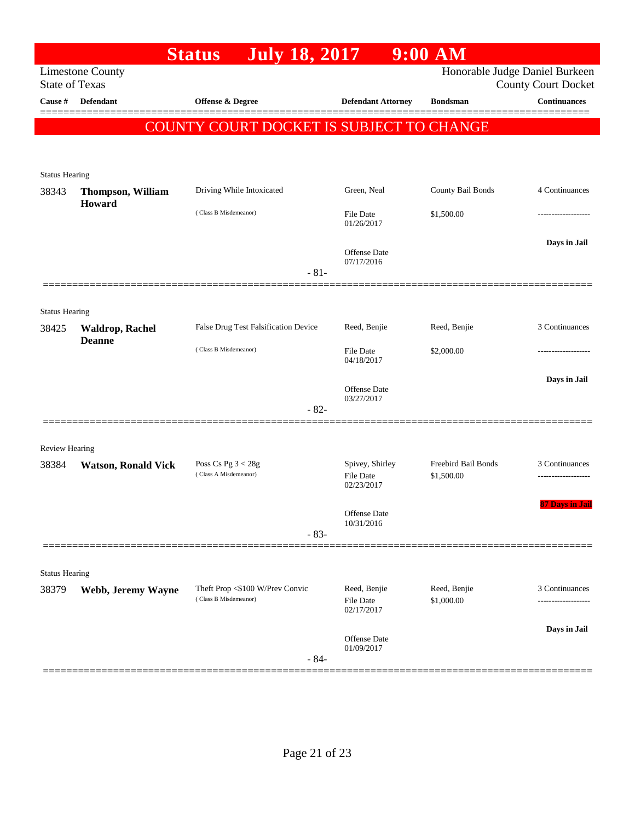|                                  |                                    | <b>July 18, 2017</b><br><b>Status</b>                    |                                     | $9:00$ AM                         |                                                   |
|----------------------------------|------------------------------------|----------------------------------------------------------|-------------------------------------|-----------------------------------|---------------------------------------------------|
|                                  | <b>Limestone County</b>            |                                                          |                                     |                                   | Honorable Judge Daniel Burkeen                    |
| <b>State of Texas</b><br>Cause # | <b>Defendant</b>                   |                                                          |                                     | <b>Bondsman</b>                   | <b>County Court Docket</b><br><b>Continuances</b> |
|                                  |                                    | Offense & Degree                                         | <b>Defendant Attorney</b>           |                                   |                                                   |
|                                  |                                    | COUNTY COURT DOCKET IS SUBJECT TO CHANGE                 |                                     |                                   |                                                   |
|                                  |                                    |                                                          |                                     |                                   |                                                   |
|                                  |                                    |                                                          |                                     |                                   |                                                   |
| <b>Status Hearing</b><br>38343   |                                    | Driving While Intoxicated                                | Green, Neal                         | County Bail Bonds                 | 4 Continuances                                    |
|                                  | <b>Thompson, William</b><br>Howard |                                                          |                                     |                                   |                                                   |
|                                  |                                    | (Class B Misdemeanor)                                    | File Date<br>01/26/2017             | \$1,500.00                        |                                                   |
|                                  |                                    |                                                          |                                     |                                   | Days in Jail                                      |
|                                  |                                    |                                                          | <b>Offense Date</b><br>07/17/2016   |                                   |                                                   |
|                                  |                                    | $-81-$                                                   |                                     |                                   |                                                   |
|                                  |                                    |                                                          |                                     |                                   |                                                   |
| <b>Status Hearing</b>            |                                    |                                                          |                                     |                                   |                                                   |
| 38425                            | <b>Waldrop, Rachel</b>             | False Drug Test Falsification Device                     | Reed, Benjie                        | Reed, Benjie                      | 3 Continuances                                    |
|                                  | <b>Deanne</b>                      | (Class B Misdemeanor)                                    | File Date                           | \$2,000.00                        |                                                   |
|                                  |                                    |                                                          | 04/18/2017                          |                                   |                                                   |
|                                  |                                    |                                                          |                                     |                                   | Days in Jail                                      |
|                                  |                                    |                                                          | Offense Date<br>03/27/2017          |                                   |                                                   |
|                                  |                                    | $-82-$                                                   |                                     |                                   |                                                   |
|                                  |                                    |                                                          |                                     |                                   |                                                   |
| Review Hearing                   |                                    |                                                          |                                     |                                   |                                                   |
| 38384                            | <b>Watson, Ronald Vick</b>         | Poss Cs Pg $3 < 28g$<br>(Class A Misdemeanor)            | Spivey, Shirley<br><b>File Date</b> | Freebird Bail Bonds<br>\$1,500.00 | 3 Continuances                                    |
|                                  |                                    |                                                          | 02/23/2017                          |                                   |                                                   |
|                                  |                                    |                                                          | Offense Date                        |                                   | 87 Days in Jail                                   |
|                                  |                                    |                                                          | 10/31/2016                          |                                   |                                                   |
|                                  |                                    | $-83-$                                                   |                                     |                                   |                                                   |
|                                  |                                    |                                                          |                                     |                                   |                                                   |
| <b>Status Hearing</b>            |                                    |                                                          |                                     |                                   |                                                   |
| 38379                            | Webb, Jeremy Wayne                 | Theft Prop <\$100 W/Prev Convic<br>(Class B Misdemeanor) | Reed, Benjie<br><b>File Date</b>    | Reed, Benjie<br>\$1,000.00        | 3 Continuances                                    |
|                                  |                                    |                                                          | 02/17/2017                          |                                   |                                                   |
|                                  |                                    |                                                          | Offense Date                        |                                   | Days in Jail                                      |
|                                  |                                    |                                                          | 01/09/2017                          |                                   |                                                   |
|                                  |                                    | $-84-$                                                   |                                     |                                   |                                                   |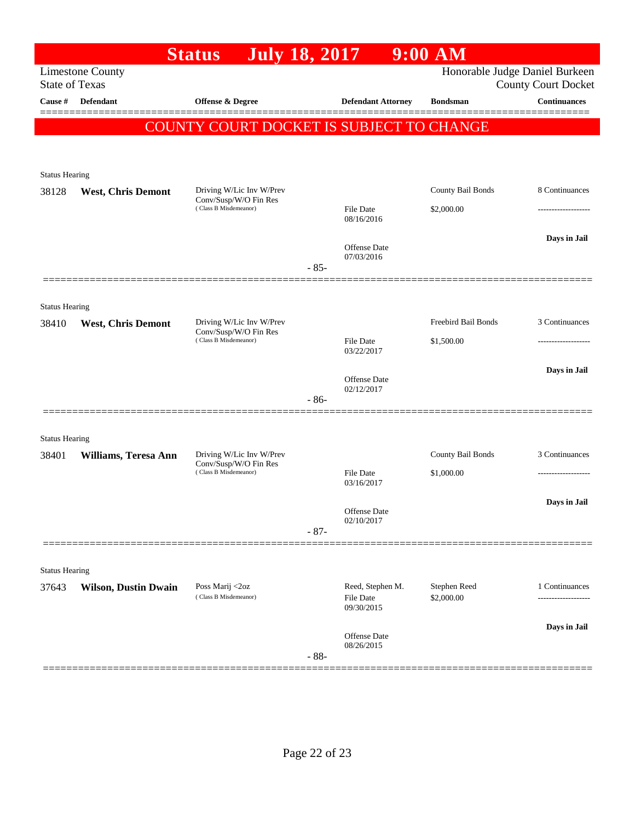|                       |                             | <b>July 18, 2017</b><br><b>Status</b>                                      |        |                                             | $9:00$ AM                  |                                                              |
|-----------------------|-----------------------------|----------------------------------------------------------------------------|--------|---------------------------------------------|----------------------------|--------------------------------------------------------------|
| <b>State of Texas</b> | <b>Limestone County</b>     |                                                                            |        |                                             |                            | Honorable Judge Daniel Burkeen<br><b>County Court Docket</b> |
| Cause #               | Defendant                   | Offense & Degree                                                           |        | <b>Defendant Attorney</b>                   | <b>Bondsman</b>            | <b>Continuances</b>                                          |
|                       |                             | COUNTY COURT DOCKET IS SUBJECT TO CHANGE                                   |        |                                             |                            |                                                              |
|                       |                             |                                                                            |        |                                             |                            |                                                              |
| <b>Status Hearing</b> |                             |                                                                            |        |                                             |                            |                                                              |
| 38128                 | <b>West, Chris Demont</b>   | Driving W/Lic Inv W/Prev<br>Conv/Susp/W/O Fin Res                          |        |                                             | County Bail Bonds          | 8 Continuances                                               |
|                       |                             | (Class B Misdemeanor)                                                      |        | File Date<br>08/16/2016                     | \$2,000.00                 | -----------------                                            |
|                       |                             |                                                                            |        | <b>Offense</b> Date                         |                            | Days in Jail                                                 |
|                       |                             |                                                                            | $-85-$ | 07/03/2016                                  |                            |                                                              |
|                       |                             |                                                                            |        |                                             |                            |                                                              |
| <b>Status Hearing</b> |                             |                                                                            |        |                                             |                            |                                                              |
| 38410                 | <b>West, Chris Demont</b>   | Driving W/Lic Inv W/Prev<br>Conv/Susp/W/O Fin Res<br>(Class B Misdemeanor) |        |                                             | Freebird Bail Bonds        | 3 Continuances                                               |
|                       |                             |                                                                            |        | <b>File Date</b><br>03/22/2017              | \$1,500.00                 |                                                              |
|                       |                             |                                                                            |        |                                             |                            | Days in Jail                                                 |
|                       |                             |                                                                            |        | Offense Date<br>02/12/2017                  |                            |                                                              |
|                       |                             |                                                                            | $-86-$ |                                             |                            |                                                              |
| <b>Status Hearing</b> |                             |                                                                            |        |                                             |                            |                                                              |
| 38401                 | Williams, Teresa Ann        | Driving W/Lic Inv W/Prev                                                   |        |                                             | County Bail Bonds          | 3 Continuances                                               |
|                       |                             | Conv/Susp/W/O Fin Res<br>(Class B Misdemeanor)                             |        | <b>File Date</b><br>03/16/2017              | \$1,000.00                 |                                                              |
|                       |                             |                                                                            |        |                                             |                            | Days in Jail                                                 |
|                       |                             |                                                                            |        | Offense Date<br>02/10/2017                  |                            |                                                              |
|                       |                             |                                                                            | $-87-$ |                                             |                            |                                                              |
|                       |                             |                                                                            |        |                                             |                            |                                                              |
| <b>Status Hearing</b> |                             |                                                                            |        |                                             |                            |                                                              |
| 37643                 | <b>Wilson, Dustin Dwain</b> | Poss Marij <2oz<br>(Class B Misdemeanor)                                   |        | Reed, Stephen M.<br>File Date<br>09/30/2015 | Stephen Reed<br>\$2,000.00 | 1 Continuances<br>-----------------                          |
|                       |                             |                                                                            |        |                                             |                            | Days in Jail                                                 |
|                       |                             |                                                                            | $-88-$ | Offense Date<br>08/26/2015                  |                            |                                                              |